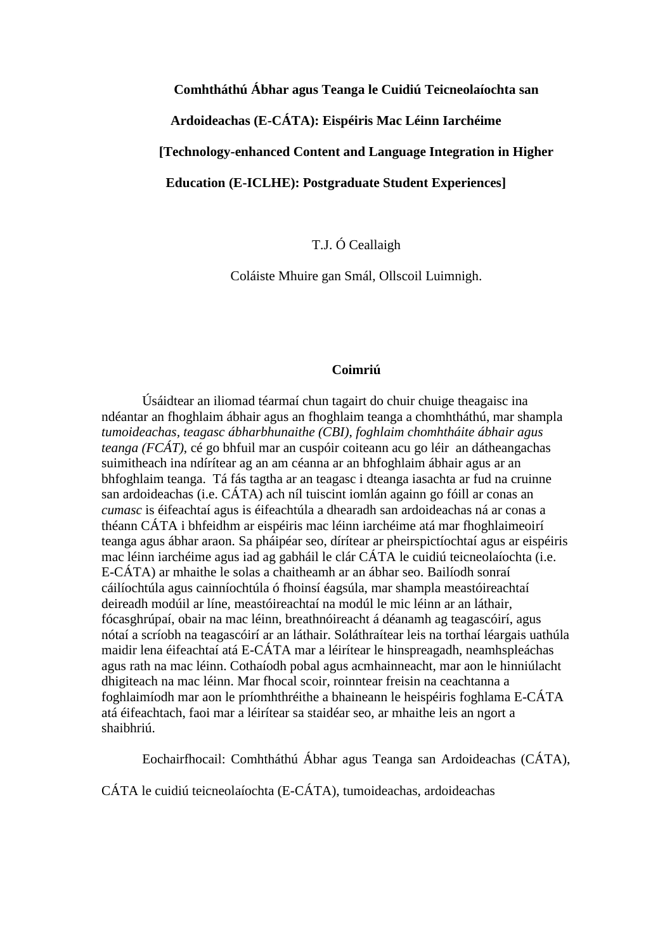### **Comhtháthú Ábhar agus Teanga le Cuidiú Teicneolaíochta san**

**Ardoideachas (E-CÁTA): Eispéiris Mac Léinn Iarchéime** 

**[Technology-enhanced Content and Language Integration in Higher** 

**Education (E-ICLHE): Postgraduate Student Experiences]**

T.J. Ó Ceallaigh

Coláiste Mhuire gan Smál, Ollscoil Luimnigh.

## **Coimriú**

Úsáidtear an iliomad téarmaí chun tagairt do chuir chuige theagaisc ina ndéantar an fhoghlaim ábhair agus an fhoghlaim teanga a chomhtháthú, mar shampla *tumoideachas, teagasc ábharbhunaithe (CBI), foghlaim chomhtháite ábhair agus teanga (FCÁT)*, cé go bhfuil mar an cuspóir coiteann acu go léir an dátheangachas suimitheach ina ndírítear ag an am céanna ar an bhfoghlaim ábhair agus ar an bhfoghlaim teanga. Tá fás tagtha ar an teagasc i dteanga iasachta ar fud na cruinne san ardoideachas (i.e. CÁTA) ach níl tuiscint iomlán againn go fóill ar conas an *cumasc* is éifeachtaí agus is éifeachtúla a dhearadh san ardoideachas ná ar conas a théann CÁTA i bhfeidhm ar eispéiris mac léinn iarchéime atá mar fhoghlaimeoirí teanga agus ábhar araon. Sa pháipéar seo, dírítear ar pheirspictíochtaí agus ar eispéiris mac léinn iarchéime agus iad ag gabháil le clár CÁTA le cuidiú teicneolaíochta (i.e. E-CÁTA) ar mhaithe le solas a chaitheamh ar an ábhar seo. Bailíodh sonraí cáilíochtúla agus cainníochtúla ó fhoinsí éagsúla, mar shampla meastóireachtaí deireadh modúil ar líne, meastóireachtaí na modúl le mic léinn ar an láthair, fócasghrúpaí, obair na mac léinn, breathnóireacht á déanamh ag teagascóirí, agus nótaí a scríobh na teagascóirí ar an láthair. Soláthraítear leis na torthaí léargais uathúla maidir lena éifeachtaí atá E-CÁTA mar a léirítear le hinspreagadh, neamhspleáchas agus rath na mac léinn. Cothaíodh pobal agus acmhainneacht, mar aon le hinniúlacht dhigiteach na mac léinn. Mar fhocal scoir, roinntear freisin na ceachtanna a foghlaimíodh mar aon le príomhthréithe a bhaineann le heispéiris foghlama E-CÁTA atá éifeachtach, faoi mar a léirítear sa staidéar seo, ar mhaithe leis an ngort a shaibhriú.

Eochairfhocail: Comhtháthú Ábhar agus Teanga san Ardoideachas (CÁTA),

CÁTA le cuidiú teicneolaíochta (E-CÁTA), tumoideachas, ardoideachas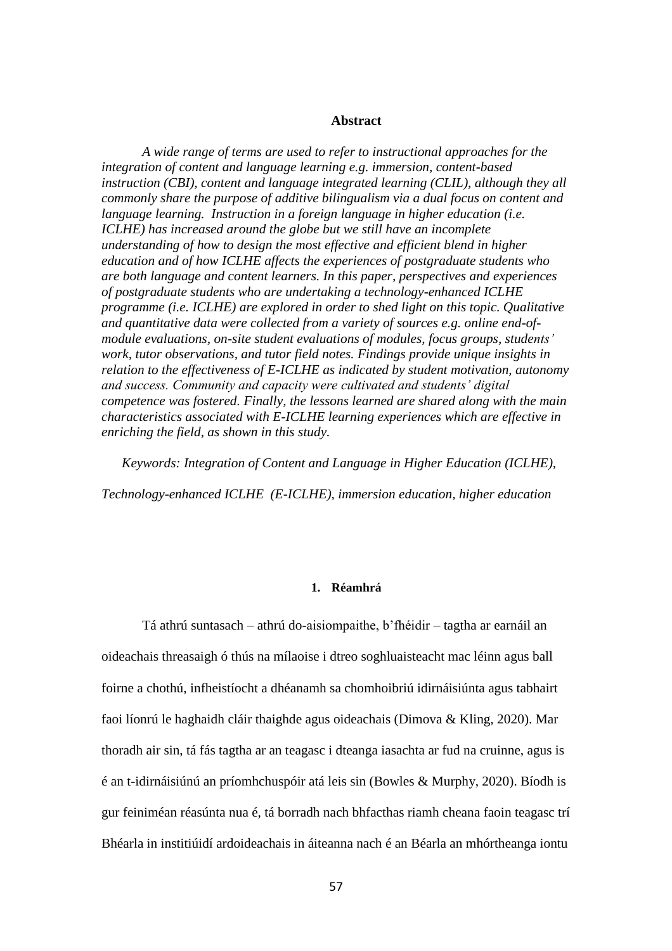#### **Abstract**

*A wide range of terms are used to refer to instructional approaches for the integration of content and language learning e.g. immersion, content-based instruction (CBI), content and language integrated learning (CLIL), although they all commonly share the purpose of additive bilingualism via a dual focus on content and language learning. Instruction in a foreign language in higher education (i.e. ICLHE) has increased around the globe but we still have an incomplete understanding of how to design the most effective and efficient blend in higher education and of how ICLHE affects the experiences of postgraduate students who are both language and content learners. In this paper, perspectives and experiences of postgraduate students who are undertaking a technology-enhanced ICLHE programme (i.e. ICLHE) are explored in order to shed light on this topic. Qualitative and quantitative data were collected from a variety of sources e.g. online end-ofmodule evaluations, on-site student evaluations of modules, focus groups, students' work, tutor observations, and tutor field notes. Findings provide unique insights in relation to the effectiveness of E-ICLHE as indicated by student motivation, autonomy and success. Community and capacity were cultivated and students' digital competence was fostered. Finally, the lessons learned are shared along with the main characteristics associated with E-ICLHE learning experiences which are effective in enriching the field, as shown in this study.* 

*Keywords: Integration of Content and Language in Higher Education (ICLHE), Technology-enhanced ICLHE (E-ICLHE), immersion education, higher education*

### **1. Réamhrá**

Tá athrú suntasach – athrú do-aisiompaithe, b'fhéidir – tagtha ar earnáil an oideachais threasaigh ó thús na mílaoise i dtreo soghluaisteacht mac léinn agus ball foirne a chothú, infheistíocht a dhéanamh sa chomhoibriú idirnáisiúnta agus tabhairt faoi líonrú le haghaidh cláir thaighde agus oideachais (Dimova & Kling, 2020). Mar thoradh air sin, tá fás tagtha ar an teagasc i dteanga iasachta ar fud na cruinne, agus is é an t-idirnáisiúnú an príomhchuspóir atá leis sin (Bowles & Murphy, 2020). Bíodh is gur feiniméan réasúnta nua é, tá borradh nach bhfacthas riamh cheana faoin teagasc trí Bhéarla in institiúidí ardoideachais in áiteanna nach é an Béarla an mhórtheanga iontu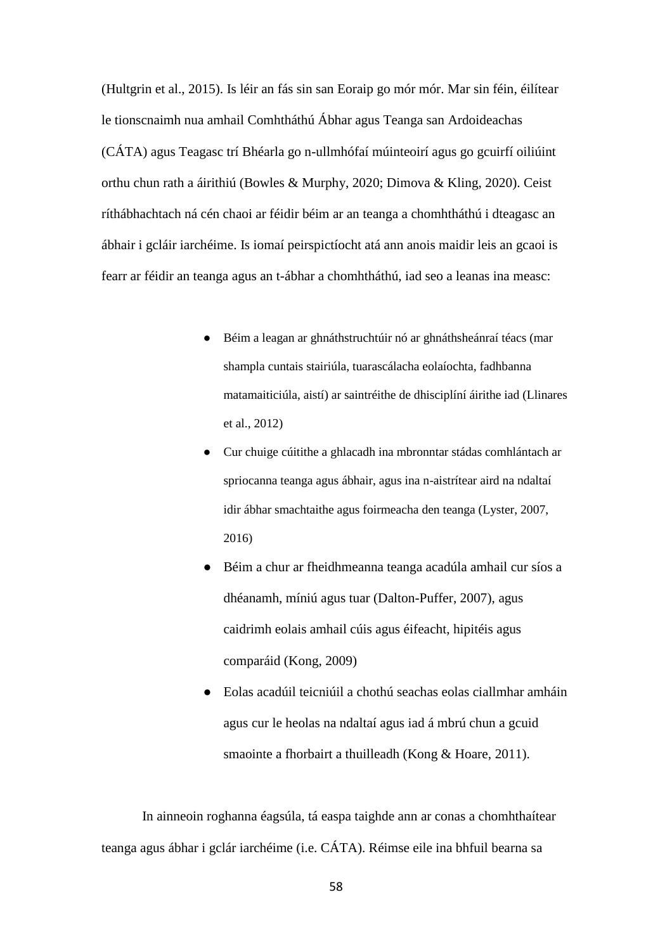(Hultgrin et al., 2015). Is léir an fás sin san Eoraip go mór mór. Mar sin féin, éilítear le tionscnaimh nua amhail Comhtháthú Ábhar agus Teanga san Ardoideachas (CÁTA) agus Teagasc trí Bhéarla go n-ullmhófaí múinteoirí agus go gcuirfí oiliúint orthu chun rath a áirithiú (Bowles & Murphy, 2020; Dimova & Kling, 2020). Ceist ríthábhachtach ná cén chaoi ar féidir béim ar an teanga a chomhtháthú i dteagasc an ábhair i gcláir iarchéime. Is iomaí peirspictíocht atá ann anois maidir leis an gcaoi is fearr ar féidir an teanga agus an t-ábhar a chomhtháthú, iad seo a leanas ina measc:

- Béim a leagan ar ghnáthstruchtúir nó ar ghnáthsheánraí téacs (mar shampla cuntais stairiúla, tuarascálacha eolaíochta, fadhbanna matamaiticiúla, aistí) ar saintréithe de dhisciplíní áirithe iad (Llinares et al., 2012)
- Cur chuige cúitithe a ghlacadh ina mbronntar stádas comhlántach ar spriocanna teanga agus ábhair, agus ina n-aistrítear aird na ndaltaí idir ábhar smachtaithe agus foirmeacha den teanga (Lyster, 2007, 2016)
- Béim a chur ar fheidhmeanna teanga acadúla amhail cur síos a dhéanamh, míniú agus tuar (Dalton-Puffer, 2007), agus caidrimh eolais amhail cúis agus éifeacht, hipitéis agus comparáid (Kong, 2009)
- Eolas acadúil teicniúil a chothú seachas eolas ciallmhar amháin agus cur le heolas na ndaltaí agus iad á mbrú chun a gcuid smaointe a fhorbairt a thuilleadh (Kong & Hoare, 2011).

In ainneoin roghanna éagsúla, tá easpa taighde ann ar conas a chomhthaítear teanga agus ábhar i gclár iarchéime (i.e. CÁTA). Réimse eile ina bhfuil bearna sa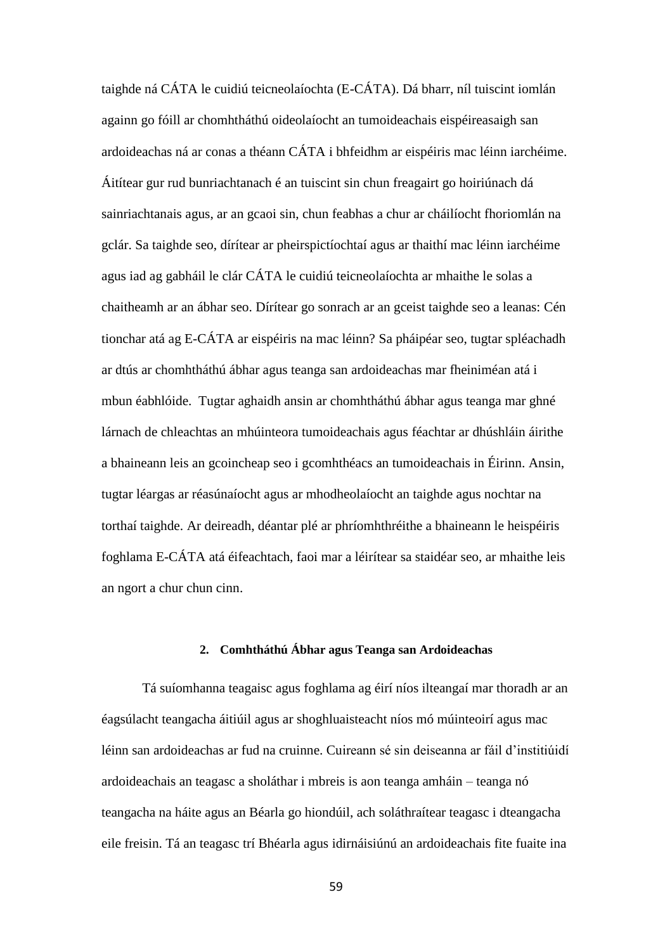taighde ná CÁTA le cuidiú teicneolaíochta (E-CÁTA). Dá bharr, níl tuiscint iomlán againn go fóill ar chomhtháthú oideolaíocht an tumoideachais eispéireasaigh san ardoideachas ná ar conas a théann CÁTA i bhfeidhm ar eispéiris mac léinn iarchéime. Áitítear gur rud bunriachtanach é an tuiscint sin chun freagairt go hoiriúnach dá sainriachtanais agus, ar an gcaoi sin, chun feabhas a chur ar cháilíocht fhoriomlán na gclár. Sa taighde seo, dírítear ar pheirspictíochtaí agus ar thaithí mac léinn iarchéime agus iad ag gabháil le clár CÁTA le cuidiú teicneolaíochta ar mhaithe le solas a chaitheamh ar an ábhar seo. Dírítear go sonrach ar an gceist taighde seo a leanas: Cén tionchar atá ag E-CÁTA ar eispéiris na mac léinn? Sa pháipéar seo, tugtar spléachadh ar dtús ar chomhtháthú ábhar agus teanga san ardoideachas mar fheiniméan atá i mbun éabhlóide. Tugtar aghaidh ansin ar chomhtháthú ábhar agus teanga mar ghné lárnach de chleachtas an mhúinteora tumoideachais agus féachtar ar dhúshláin áirithe a bhaineann leis an gcoincheap seo i gcomhthéacs an tumoideachais in Éirinn. Ansin, tugtar léargas ar réasúnaíocht agus ar mhodheolaíocht an taighde agus nochtar na torthaí taighde. Ar deireadh, déantar plé ar phríomhthréithe a bhaineann le heispéiris foghlama E-CÁTA atá éifeachtach, faoi mar a léirítear sa staidéar seo, ar mhaithe leis an ngort a chur chun cinn.

## **2. Comhtháthú Ábhar agus Teanga san Ardoideachas**

Tá suíomhanna teagaisc agus foghlama ag éirí níos ilteangaí mar thoradh ar an éagsúlacht teangacha áitiúil agus ar shoghluaisteacht níos mó múinteoirí agus mac léinn san ardoideachas ar fud na cruinne. Cuireann sé sin deiseanna ar fáil d'institiúidí ardoideachais an teagasc a sholáthar i mbreis is aon teanga amháin – teanga nó teangacha na háite agus an Béarla go hiondúil, ach soláthraítear teagasc i dteangacha eile freisin. Tá an teagasc trí Bhéarla agus idirnáisiúnú an ardoideachais fite fuaite ina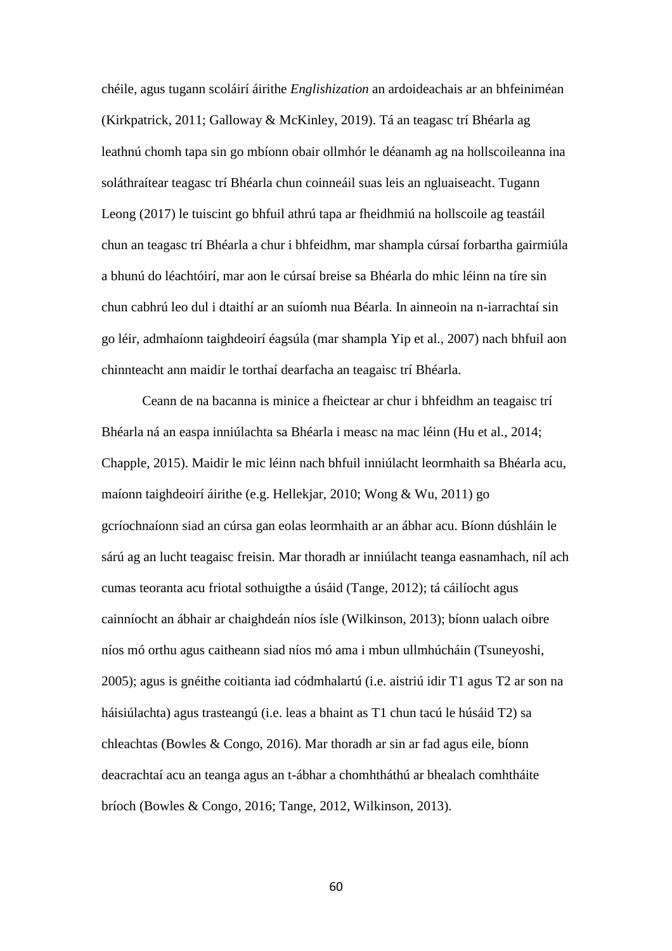chéile, agus tugann scoláirí áirithe *Englishization* an ardoideachais ar an bhfeiniméan (Kirkpatrick, 2011; Galloway & McKinley, 2019). Tá an teagasc trí Bhéarla ag leathnú chomh tapa sin go mbíonn obair ollmhór le déanamh ag na hollscoileanna ina soláthraítear teagasc trí Bhéarla chun coinneáil suas leis an ngluaiseacht. Tugann Leong (2017) le tuiscint go bhfuil athrú tapa ar fheidhmiú na hollscoile ag teastáil chun an teagasc trí Bhéarla a chur i bhfeidhm, mar shampla cúrsaí forbartha gairmiúla a bhunú do léachtóirí, mar aon le cúrsaí breise sa Bhéarla do mhic léinn na tíre sin chun cabhrú leo dul i dtaithí ar an suíomh nua Béarla. In ainneoin na n-iarrachtaí sin go léir, admhaíonn taighdeoirí éagsúla (mar shampla Yip et al., 2007) nach bhfuil aon chinnteacht ann maidir le torthaí dearfacha an teagaisc trí Bhéarla.

Ceann de na bacanna is minice a fheictear ar chur i bhfeidhm an teagaisc trí Bhéarla ná an easpa inniúlachta sa Bhéarla i measc na mac léinn (Hu et al., 2014; Chapple, 2015). Maidir le mic léinn nach bhfuil inniúlacht leormhaith sa Bhéarla acu, maíonn taighdeoirí áirithe (e.g. Hellekjar, 2010; Wong & Wu, 2011) go gcríochnaíonn siad an cúrsa gan eolas leormhaith ar an ábhar acu. Bíonn dúshláin le sárú ag an lucht teagaisc freisin. Mar thoradh ar inniúlacht teanga easnamhach, níl ach cumas teoranta acu friotal sothuigthe a úsáid (Tange, 2012); tá cáilíocht agus cainníocht an ábhair ar chaighdeán níos ísle (Wilkinson, 2013); bíonn ualach oibre níos mó orthu agus caitheann siad níos mó ama i mbun ullmhúcháin (Tsuneyoshi, 2005); agus is gnéithe coitianta iad códmhalartú (i.e. aistriú idir T1 agus T2 ar son na háisiúlachta) agus trasteangú (i.e. leas a bhaint as T1 chun tacú le húsáid T2) sa chleachtas (Bowles & Congo, 2016). Mar thoradh ar sin ar fad agus eile, bíonn deacrachtaí acu an teanga agus an t-ábhar a chomhtháthú ar bhealach comhtháite bríoch (Bowles & Congo, 2016; Tange, 2012, Wilkinson, 2013).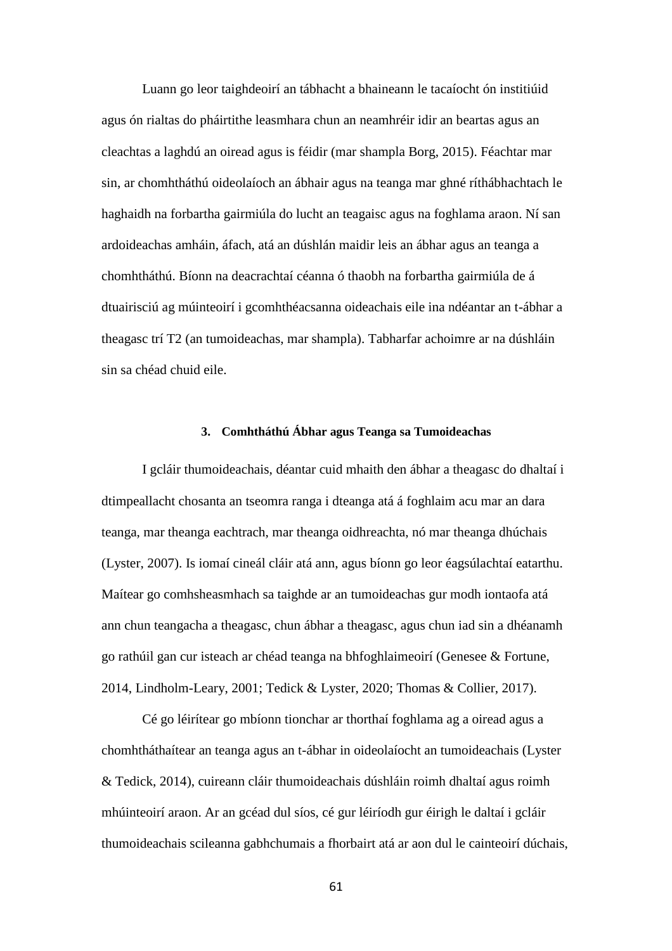Luann go leor taighdeoirí an tábhacht a bhaineann le tacaíocht ón institiúid agus ón rialtas do pháirtithe leasmhara chun an neamhréir idir an beartas agus an cleachtas a laghdú an oiread agus is féidir (mar shampla Borg, 2015). Féachtar mar sin, ar chomhtháthú oideolaíoch an ábhair agus na teanga mar ghné ríthábhachtach le haghaidh na forbartha gairmiúla do lucht an teagaisc agus na foghlama araon. Ní san ardoideachas amháin, áfach, atá an dúshlán maidir leis an ábhar agus an teanga a chomhtháthú. Bíonn na deacrachtaí céanna ó thaobh na forbartha gairmiúla de á dtuairisciú ag múinteoirí i gcomhthéacsanna oideachais eile ina ndéantar an t-ábhar a theagasc trí T2 (an tumoideachas, mar shampla). Tabharfar achoimre ar na dúshláin sin sa chéad chuid eile.

### **3. Comhtháthú Ábhar agus Teanga sa Tumoideachas**

I gcláir thumoideachais, déantar cuid mhaith den ábhar a theagasc do dhaltaí i dtimpeallacht chosanta an tseomra ranga i dteanga atá á foghlaim acu mar an dara teanga, mar theanga eachtrach, mar theanga oidhreachta, nó mar theanga dhúchais (Lyster, 2007). Is iomaí cineál cláir atá ann, agus bíonn go leor éagsúlachtaí eatarthu. Maítear go comhsheasmhach sa taighde ar an tumoideachas gur modh iontaofa atá ann chun teangacha a theagasc, chun ábhar a theagasc, agus chun iad sin a dhéanamh go rathúil gan cur isteach ar chéad teanga na bhfoghlaimeoirí (Genesee & Fortune, 2014, Lindholm-Leary, 2001; Tedick & Lyster, 2020; Thomas & Collier, 2017).

Cé go léirítear go mbíonn tionchar ar thorthaí foghlama ag a oiread agus a chomhtháthaítear an teanga agus an t-ábhar in oideolaíocht an tumoideachais (Lyster & Tedick, 2014), cuireann cláir thumoideachais dúshláin roimh dhaltaí agus roimh mhúinteoirí araon. Ar an gcéad dul síos, cé gur léiríodh gur éirigh le daltaí i gcláir thumoideachais scileanna gabhchumais a fhorbairt atá ar aon dul le cainteoirí dúchais,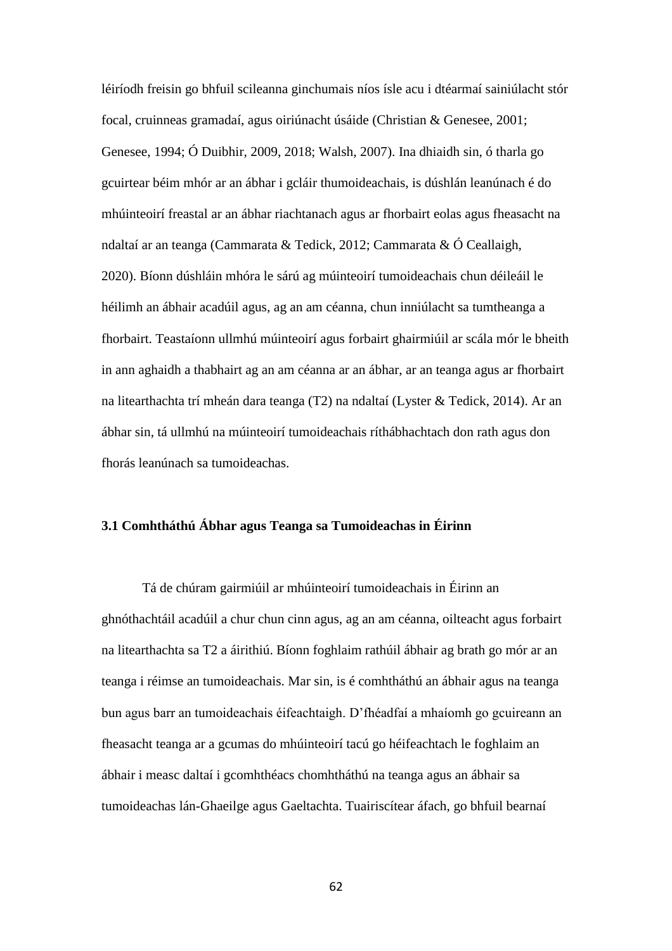léiríodh freisin go bhfuil scileanna ginchumais níos ísle acu i dtéarmaí sainiúlacht stór focal, cruinneas gramadaí, agus oiriúnacht úsáide (Christian & Genesee, 2001; Genesee, 1994; Ó Duibhir, 2009, 2018; Walsh, 2007). Ina dhiaidh sin, ó tharla go gcuirtear béim mhór ar an ábhar i gcláir thumoideachais, is dúshlán leanúnach é do mhúinteoirí freastal ar an ábhar riachtanach agus ar fhorbairt eolas agus fheasacht na ndaltaí ar an teanga (Cammarata & Tedick, 2012; Cammarata & Ó Ceallaigh, 2020). Bíonn dúshláin mhóra le sárú ag múinteoirí tumoideachais chun déileáil le héilimh an ábhair acadúil agus, ag an am céanna, chun inniúlacht sa tumtheanga a fhorbairt. Teastaíonn ullmhú múinteoirí agus forbairt ghairmiúil ar scála mór le bheith in ann aghaidh a thabhairt ag an am céanna ar an ábhar, ar an teanga agus ar fhorbairt na litearthachta trí mheán dara teanga (T2) na ndaltaí (Lyster & Tedick, 2014). Ar an ábhar sin, tá ullmhú na múinteoirí tumoideachais ríthábhachtach don rath agus don fhorás leanúnach sa tumoideachas.

# **3.1 Comhtháthú Ábhar agus Teanga sa Tumoideachas in Éirinn**

Tá de chúram gairmiúil ar mhúinteoirí tumoideachais in Éirinn an ghnóthachtáil acadúil a chur chun cinn agus, ag an am céanna, oilteacht agus forbairt na litearthachta sa T2 a áirithiú. Bíonn foghlaim rathúil ábhair ag brath go mór ar an teanga i réimse an tumoideachais. Mar sin, is é comhtháthú an ábhair agus na teanga bun agus barr an tumoideachais éifeachtaigh. D'fhéadfaí a mhaíomh go gcuireann an fheasacht teanga ar a gcumas do mhúinteoirí tacú go héifeachtach le foghlaim an ábhair i measc daltaí i gcomhthéacs chomhtháthú na teanga agus an ábhair sa tumoideachas lán-Ghaeilge agus Gaeltachta. Tuairiscítear áfach, go bhfuil bearnaí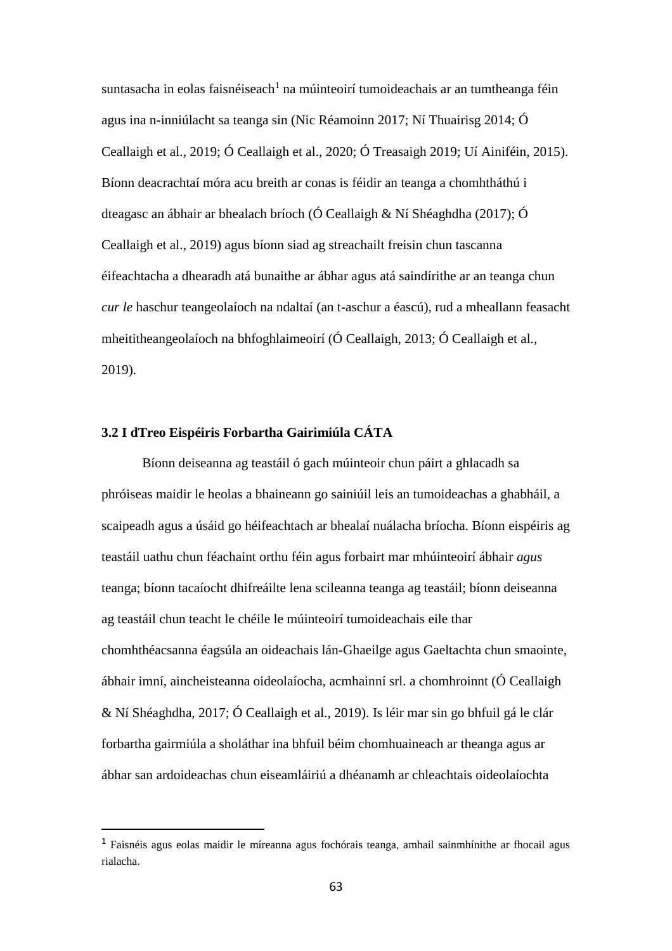suntasacha in eolas faisnéiseach<sup>1</sup> na múinteoirí tumoideachais ar an tumtheanga féin agus ina n-inniúlacht sa teanga sin (Nic Réamoinn 2017; Ní Thuairisg 2014; Ó Ceallaigh et al., 2019; Ó Ceallaigh et al., 2020; Ó Treasaigh 2019; Uí Ainiféin, 2015). Bíonn deacrachtaí móra acu breith ar conas is féidir an teanga a chomhtháthú i dteagasc an ábhair ar bhealach bríoch (Ó Ceallaigh & Ní Shéaghdha (2017); Ó Ceallaigh et al., 2019) agus bíonn siad ag streachailt freisin chun tascanna éifeachtacha a dhearadh atá bunaithe ar ábhar agus atá saindírithe ar an teanga chun *cur le* haschur teangeolaíoch na ndaltaí (an t-aschur a éascú), rud a mheallann feasacht mheititheangeolaíoch na bhfoghlaimeoirí (Ó Ceallaigh, 2013; Ó Ceallaigh et al., 2019).

# **3.2 I dTreo Eispéiris Forbartha Gairimiúla CÁTA**

 $\overline{a}$ 

Bíonn deiseanna ag teastáil ó gach múinteoir chun páirt a ghlacadh sa phróiseas maidir le heolas a bhaineann go sainiúil leis an tumoideachas a ghabháil, a scaipeadh agus a úsáid go héifeachtach ar bhealaí nuálacha bríocha. Bíonn eispéiris ag teastáil uathu chun féachaint orthu féin agus forbairt mar mhúinteoirí ábhair *agus* teanga; bíonn tacaíocht dhifreáilte lena scileanna teanga ag teastáil; bíonn deiseanna ag teastáil chun teacht le chéile le múinteoirí tumoideachais eile thar chomhthéacsanna éagsúla an oideachais lán-Ghaeilge agus Gaeltachta chun smaointe, ábhair imní, aincheisteanna oideolaíocha, acmhainní srl. a chomhroinnt (Ó Ceallaigh & Ní Shéaghdha, 2017; Ó Ceallaigh et al., 2019). Is léir mar sin go bhfuil gá le clár forbartha gairmiúla a sholáthar ina bhfuil béim chomhuaineach ar theanga agus ar ábhar san ardoideachas chun eiseamláiriú a dhéanamh ar chleachtais oideolaíochta

<sup>1</sup> Faisnéis agus eolas maidir le míreanna agus fochórais teanga, amhail sainmhínithe ar fhocail agus rialacha.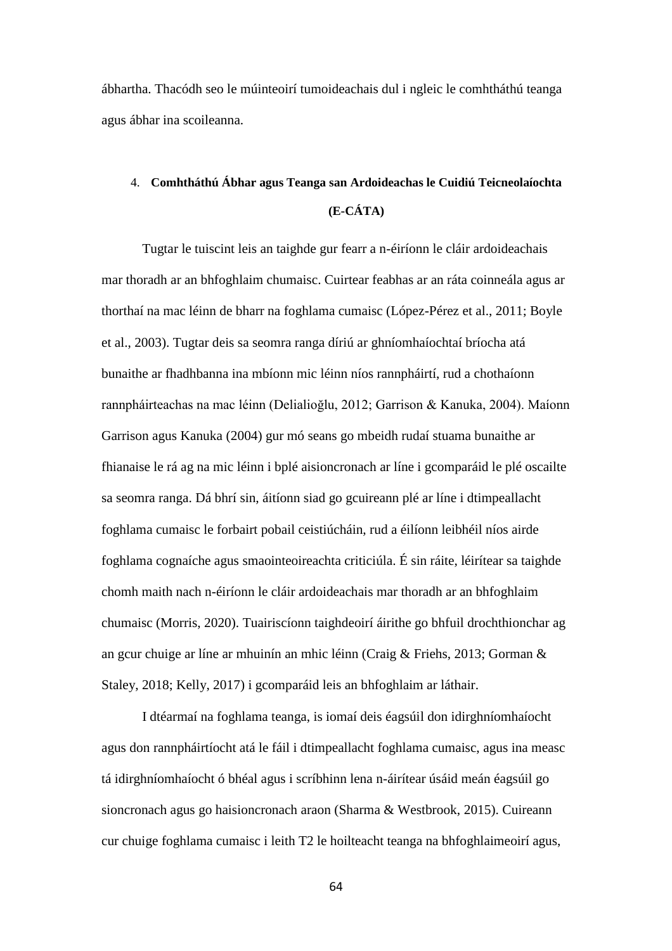ábhartha. Thacódh seo le múinteoirí tumoideachais dul i ngleic le comhtháthú teanga agus ábhar ina scoileanna.

# 4. **Comhtháthú Ábhar agus Teanga san Ardoideachas le Cuidiú Teicneolaíochta (E-CÁTA)**

Tugtar le tuiscint leis an taighde gur fearr a n-éiríonn le cláir ardoideachais mar thoradh ar an bhfoghlaim chumaisc. Cuirtear feabhas ar an ráta coinneála agus ar thorthaí na mac léinn de bharr na foghlama cumaisc (López-Pérez et al., 2011; Boyle et al., 2003). Tugtar deis sa seomra ranga díriú ar ghníomhaíochtaí bríocha atá bunaithe ar fhadhbanna ina mbíonn mic léinn níos rannpháirtí, rud a chothaíonn rannpháirteachas na mac léinn (Delialioğlu, 2012; Garrison & Kanuka, 2004). Maíonn Garrison agus Kanuka (2004) gur mó seans go mbeidh rudaí stuama bunaithe ar fhianaise le rá ag na mic léinn i bplé aisioncronach ar líne i gcomparáid le plé oscailte sa seomra ranga. Dá bhrí sin, áitíonn siad go gcuireann plé ar líne i dtimpeallacht foghlama cumaisc le forbairt pobail ceistiúcháin, rud a éilíonn leibhéil níos airde foghlama cognaíche agus smaointeoireachta criticiúla. É sin ráite, léirítear sa taighde chomh maith nach n-éiríonn le cláir ardoideachais mar thoradh ar an bhfoghlaim chumaisc (Morris, 2020). Tuairiscíonn taighdeoirí áirithe go bhfuil drochthionchar ag an gcur chuige ar líne ar mhuinín an mhic léinn (Craig & Friehs, 2013; Gorman & Staley, 2018; Kelly, 2017) i gcomparáid leis an bhfoghlaim ar láthair.

I dtéarmaí na foghlama teanga, is iomaí deis éagsúil don idirghníomhaíocht agus don rannpháirtíocht atá le fáil i dtimpeallacht foghlama cumaisc, agus ina measc tá idirghníomhaíocht ó bhéal agus i scríbhinn lena n-áirítear úsáid meán éagsúil go sioncronach agus go haisioncronach araon (Sharma & Westbrook, 2015). Cuireann cur chuige foghlama cumaisc i leith T2 le hoilteacht teanga na bhfoghlaimeoirí agus,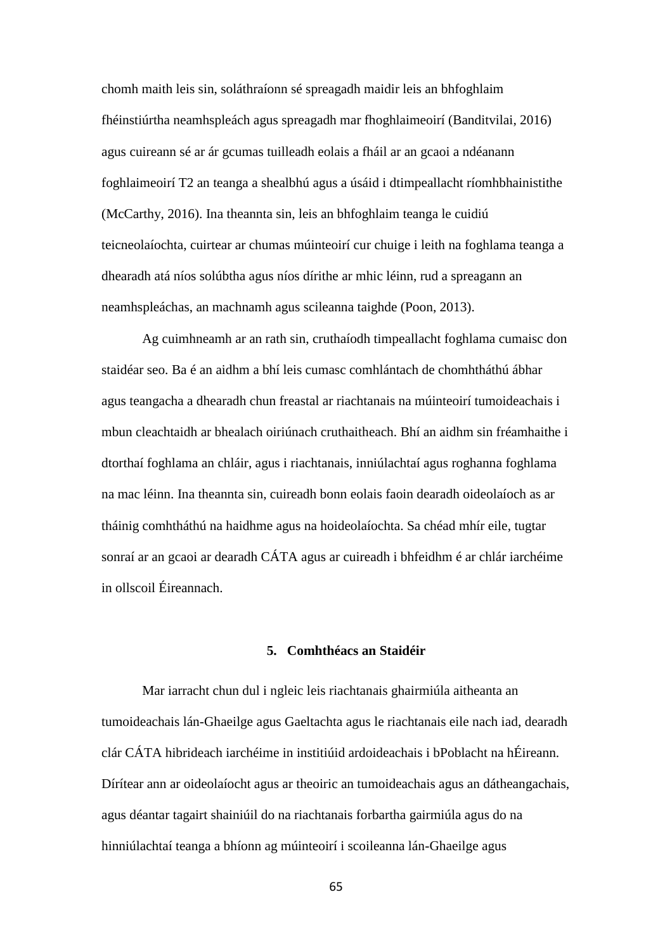chomh maith leis sin, soláthraíonn sé spreagadh maidir leis an bhfoghlaim fhéinstiúrtha neamhspleách agus spreagadh mar fhoghlaimeoirí (Banditvilai, 2016) agus cuireann sé ar ár gcumas tuilleadh eolais a fháil ar an gcaoi a ndéanann foghlaimeoirí T2 an teanga a shealbhú agus a úsáid i dtimpeallacht ríomhbhainistithe (McCarthy, 2016). Ina theannta sin, leis an bhfoghlaim teanga le cuidiú teicneolaíochta, cuirtear ar chumas múinteoirí cur chuige i leith na foghlama teanga a dhearadh atá níos solúbtha agus níos dírithe ar mhic léinn, rud a spreagann an neamhspleáchas, an machnamh agus scileanna taighde (Poon, 2013).

Ag cuimhneamh ar an rath sin, cruthaíodh timpeallacht foghlama cumaisc don staidéar seo. Ba é an aidhm a bhí leis cumasc comhlántach de chomhtháthú ábhar agus teangacha a dhearadh chun freastal ar riachtanais na múinteoirí tumoideachais i mbun cleachtaidh ar bhealach oiriúnach cruthaitheach. Bhí an aidhm sin fréamhaithe i dtorthaí foghlama an chláir, agus i riachtanais, inniúlachtaí agus roghanna foghlama na mac léinn. Ina theannta sin, cuireadh bonn eolais faoin dearadh oideolaíoch as ar tháinig comhtháthú na haidhme agus na hoideolaíochta. Sa chéad mhír eile, tugtar sonraí ar an gcaoi ar dearadh CÁTA agus ar cuireadh i bhfeidhm é ar chlár iarchéime in ollscoil Éireannach.

### **5. Comhthéacs an Staidéir**

Mar iarracht chun dul i ngleic leis riachtanais ghairmiúla aitheanta an tumoideachais lán-Ghaeilge agus Gaeltachta agus le riachtanais eile nach iad, dearadh clár CÁTA hibrideach iarchéime in institiúid ardoideachais i bPoblacht na hÉireann. Dírítear ann ar oideolaíocht agus ar theoiric an tumoideachais agus an dátheangachais, agus déantar tagairt shainiúil do na riachtanais forbartha gairmiúla agus do na hinniúlachtaí teanga a bhíonn ag múinteoirí i scoileanna lán-Ghaeilge agus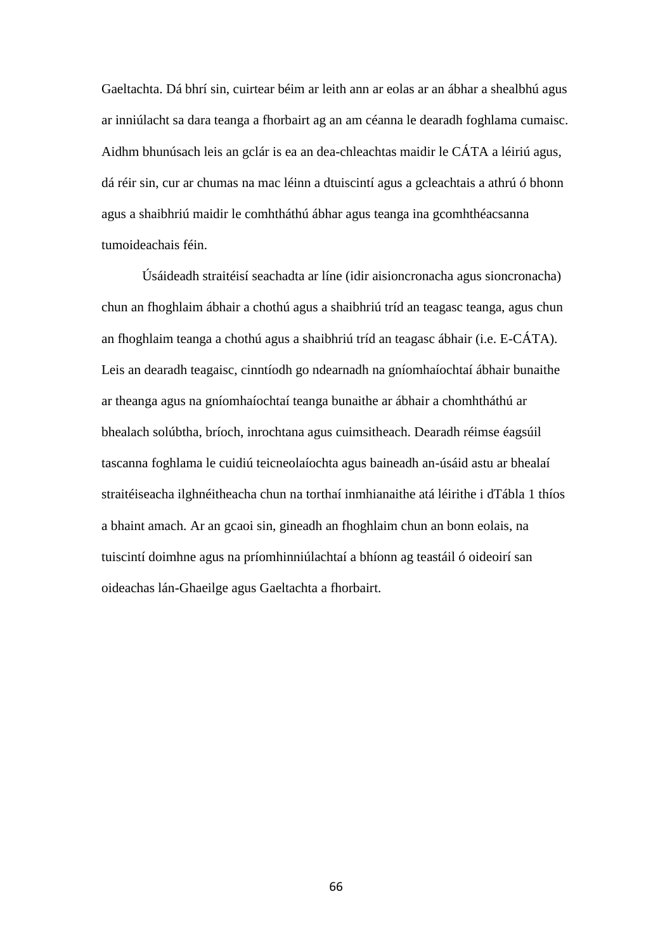Gaeltachta. Dá bhrí sin, cuirtear béim ar leith ann ar eolas ar an ábhar a shealbhú agus ar inniúlacht sa dara teanga a fhorbairt ag an am céanna le dearadh foghlama cumaisc. Aidhm bhunúsach leis an gclár is ea an dea-chleachtas maidir le CÁTA a léiriú agus, dá réir sin, cur ar chumas na mac léinn a dtuiscintí agus a gcleachtais a athrú ó bhonn agus a shaibhriú maidir le comhtháthú ábhar agus teanga ina gcomhthéacsanna tumoideachais féin.

Úsáideadh straitéisí seachadta ar líne (idir aisioncronacha agus sioncronacha) chun an fhoghlaim ábhair a chothú agus a shaibhriú tríd an teagasc teanga, agus chun an fhoghlaim teanga a chothú agus a shaibhriú tríd an teagasc ábhair (i.e. E-CÁTA). Leis an dearadh teagaisc, cinntíodh go ndearnadh na gníomhaíochtaí ábhair bunaithe ar theanga agus na gníomhaíochtaí teanga bunaithe ar ábhair a chomhtháthú ar bhealach solúbtha, bríoch, inrochtana agus cuimsitheach. Dearadh réimse éagsúil tascanna foghlama le cuidiú teicneolaíochta agus baineadh an-úsáid astu ar bhealaí straitéiseacha ilghnéitheacha chun na torthaí inmhianaithe atá léirithe i dTábla 1 thíos a bhaint amach. Ar an gcaoi sin, gineadh an fhoghlaim chun an bonn eolais, na tuiscintí doimhne agus na príomhinniúlachtaí a bhíonn ag teastáil ó oideoirí san oideachas lán-Ghaeilge agus Gaeltachta a fhorbairt.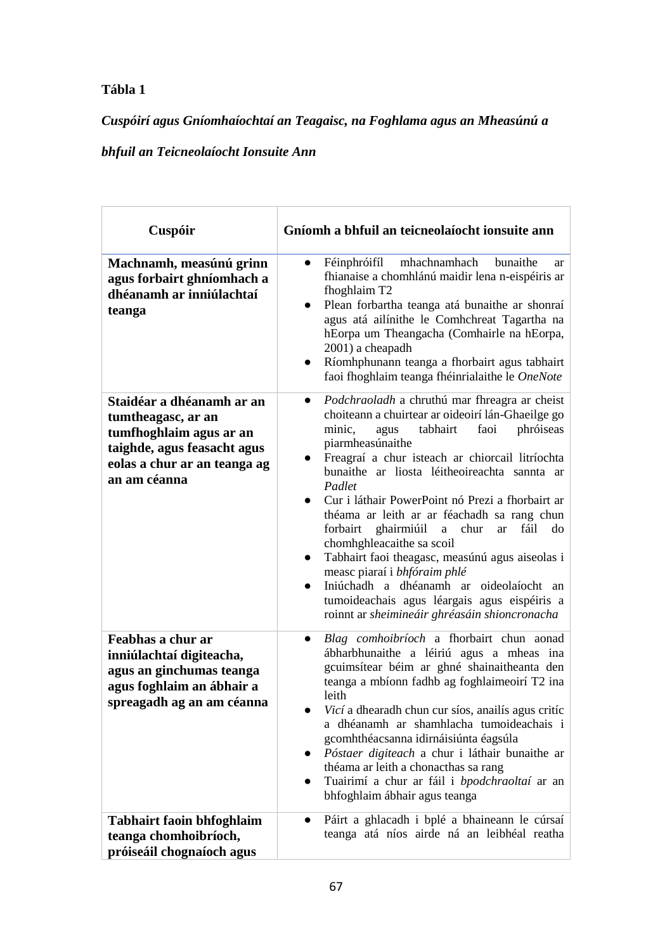# **Tábla 1**

# *Cuspóirí agus Gníomhaíochtaí an Teagaisc, na Foghlama agus an Mheasúnú a*

# *bhfuil an Teicneolaíocht Ionsuite Ann*

| Cuspóir                                                                                                                                                   | Gníomh a bhfuil an teicneolaíocht ionsuite ann                                                                                                                                                                                                                                                                                                                                                                                                                                                                                                                                                                                                                                                                          |
|-----------------------------------------------------------------------------------------------------------------------------------------------------------|-------------------------------------------------------------------------------------------------------------------------------------------------------------------------------------------------------------------------------------------------------------------------------------------------------------------------------------------------------------------------------------------------------------------------------------------------------------------------------------------------------------------------------------------------------------------------------------------------------------------------------------------------------------------------------------------------------------------------|
| Machnamh, measúnú grinn<br>agus forbairt ghníomhach a<br>dhéanamh ar inniúlachtaí<br>teanga                                                               | Féinphróifíl<br>mhachnamhach<br>bunaithe<br>$\bullet$<br>ar<br>fhianaise a chomhlánú maidir lena n-eispéiris ar<br>fhoghlaim T <sub>2</sub><br>Plean forbartha teanga atá bunaithe ar shonraí<br>agus atá ailínithe le Comhchreat Tagartha na<br>hEorpa um Theangacha (Comhairle na hEorpa,<br>2001) a cheapadh<br>Ríomhphunann teanga a fhorbairt agus tabhairt<br>faoi fhoghlaim teanga fhéinrialaithe le OneNote                                                                                                                                                                                                                                                                                                     |
| Staidéar a dhéanamh ar an<br>tumtheagasc, ar an<br>tumfhoghlaim agus ar an<br>taighde, agus feasacht agus<br>eolas a chur ar an teanga ag<br>an am céanna | Podchraoladh a chruthú mar fhreagra ar cheist<br>$\bullet$<br>choiteann a chuirtear ar oideoirí lán-Ghaeilge go<br>phróiseas<br>minic,<br>tabhairt<br>faoi<br>agus<br>piarmheasúnaithe<br>Freagraí a chur isteach ar chiorcail litríochta<br>bunaithe ar liosta léitheoireachta sannta ar<br>Padlet<br>Cur i láthair PowerPoint nó Prezi a fhorbairt ar<br>théama ar leith ar ar féachadh sa rang chun<br>forbairt ghairmiúil<br>fáil<br>a chur<br>ar<br>do<br>chomhghleacaithe sa scoil<br>Tabhairt faoi theagasc, measúnú agus aiseolas i<br>measc piaraí i bhfóraim phlé<br>Iniúchadh a dhéanamh ar oideolaíocht an<br>tumoideachais agus léargais agus eispéiris a<br>roinnt ar sheimineáir ghréasáin shioncronacha |
| Feabhas a chur ar<br>inniúlachtaí digiteacha,<br>agus an ginchumas teanga<br>agus foghlaim an ábhair a<br>spreagadh ag an am céanna                       | Blag comhoibríoch a fhorbairt chun aonad<br>$\bullet$<br>ábharbhunaithe a léiriú agus a mheas ina<br>gcuimsítear béim ar ghné shainaitheanta den<br>teanga a mbíonn fadhb ag foghlaimeoirí T2 ina<br>leith<br>Vicí a dhearadh chun cur síos, anailís agus critíc<br>a dhéanamh ar shamhlacha tumoideachais i<br>gcomhthéacsanna idirnáisiúnta éagsúla<br>Póstaer digiteach a chur i láthair bunaithe ar<br>théama ar leith a chonacthas sa rang<br>Tuairimí a chur ar fáil i bpodchraoltaí ar an<br>bhfoghlaim ábhair agus teanga                                                                                                                                                                                       |
| <b>Tabhairt faoin bhfoghlaim</b><br>teanga chomhoibríoch,<br>próiseáil chognaíoch agus                                                                    | Páirt a ghlacadh i bplé a bhaineann le cúrsaí<br>teanga atá níos airde ná an leibhéal reatha                                                                                                                                                                                                                                                                                                                                                                                                                                                                                                                                                                                                                            |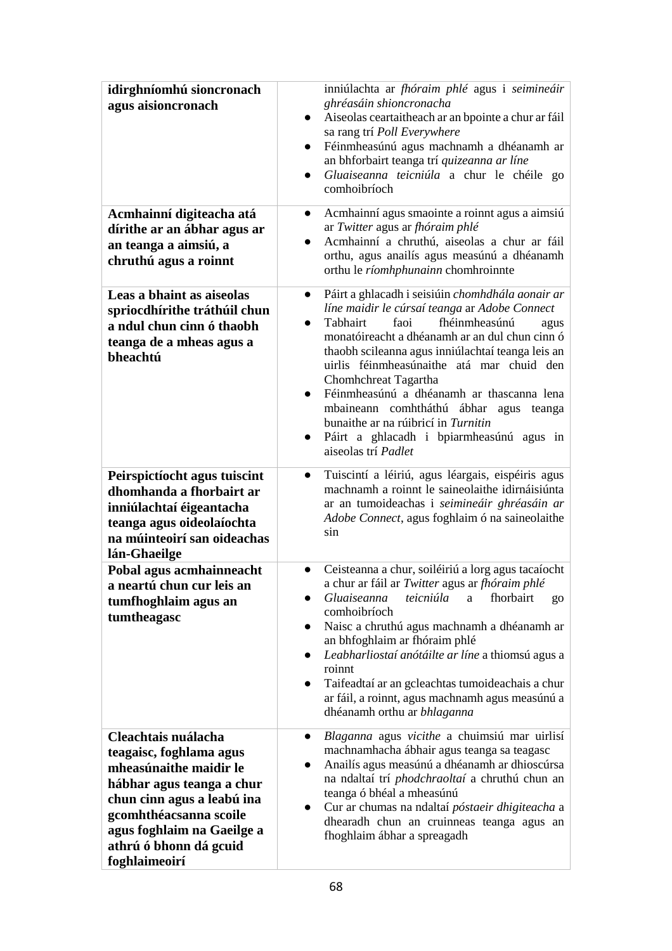| idirghníomhú sioncronach<br>agus aisioncronach                                                                                                                                                                                         | inniúlachta ar fhóraim phlé agus i seimineáir<br>ghréasáin shioncronacha<br>Aiseolas ceartaitheach ar an bpointe a chur ar fáil<br>$\bullet$<br>sa rang trí Poll Everywhere<br>Féinmheasúnú agus machnamh a dhéanamh ar<br>$\bullet$<br>an bhforbairt teanga trí quizeanna ar líne<br>Gluaiseanna teicniúla a chur le chéile go<br>$\bullet$<br>comhoibríoch                                                                                                                                                                                                          |
|----------------------------------------------------------------------------------------------------------------------------------------------------------------------------------------------------------------------------------------|-----------------------------------------------------------------------------------------------------------------------------------------------------------------------------------------------------------------------------------------------------------------------------------------------------------------------------------------------------------------------------------------------------------------------------------------------------------------------------------------------------------------------------------------------------------------------|
| Acmhainní digiteacha atá<br>dírithe ar an ábhar agus ar<br>an teanga a aimsiú, a<br>chruthú agus a roinnt                                                                                                                              | Acmhainní agus smaointe a roinnt agus a aimsiú<br>$\bullet$<br>ar Twitter agus ar fhóraim phlé<br>Acmhainní a chruthú, aiseolas a chur ar fáil<br>orthu, agus anailís agus measúnú a dhéanamh<br>orthu le ríomhphunainn chomhroinnte                                                                                                                                                                                                                                                                                                                                  |
| Leas a bhaint as aiseolas<br>spriocdhírithe tráthúil chun<br>a ndul chun cinn ó thaobh<br>teanga de a mheas agus a<br>bheachtú                                                                                                         | Páirt a ghlacadh i seisiúin chomhdhála aonair ar<br>$\bullet$<br>líne maidir le cúrsaí teanga ar Adobe Connect<br>faoi<br>fhéinmheasúnú<br>Tabhairt<br>agus<br>$\bullet$<br>monatóireacht a dhéanamh ar an dul chun cinn ó<br>thaobh scileanna agus inniúlachtaí teanga leis an<br>uirlis féinmheasúnaithe atá mar chuid den<br>Chomhchreat Tagartha<br>Féinmheasúnú a dhéanamh ar thascanna lena<br>$\bullet$<br>mbaineann comhtháthú ábhar agus<br>teanga<br>bunaithe ar na rúibricí in Turnitin<br>Páirt a ghlacadh i bpiarmheasúnú agus in<br>aiseolas trí Padlet |
| Peirspictíocht agus tuiscint<br>dhomhanda a fhorbairt ar<br>inniúlachtaí éigeantacha<br>teanga agus oideolaíochta<br>na múinteoirí san oideachas<br>lán-Ghaeilge                                                                       | Tuiscintí a léiriú, agus léargais, eispéiris agus<br>$\bullet$<br>machnamh a roinnt le saineolaithe idirnáisiúnta<br>ar an tumoideachas i seimineáir ghréasáin ar<br>Adobe Connect, agus foghlaim ó na saineolaithe<br>sin                                                                                                                                                                                                                                                                                                                                            |
| Pobal agus acmhainneacht<br>a neartú chun cur leis an<br>tumfhoghlaim agus an<br>tumtheagasc                                                                                                                                           | Ceisteanna a chur, soiléiriú a lorg agus tacaíocht<br>$\bullet$<br>a chur ar fáil ar Twitter agus ar fhóraim phlé<br>Gluaiseanna<br>teicniúla<br>fhorbairt<br>a<br>go<br>comhoibríoch<br>Naisc a chruthú agus machnamh a dhéanamh ar<br>an bhfoghlaim ar fhóraim phlé<br>Leabharliostaí anótáilte ar líne a thiomsú agus a<br>roinnt<br>Taifeadtaí ar an gcleachtas tumoideachais a chur<br>ar fáil, a roinnt, agus machnamh agus measúnú a<br>dhéanamh orthu ar bhlaganna                                                                                            |
| Cleachtais nuálacha<br>teagaisc, foghlama agus<br>mheasúnaithe maidir le<br>hábhar agus teanga a chur<br>chun cinn agus a leabú ina<br>gcomhthéacsanna scoile<br>agus foghlaim na Gaeilge a<br>athrú ó bhonn dá gcuid<br>foghlaimeoirí | Blaganna agus vicithe a chuimsiú mar uirlisí<br>$\bullet$<br>machnamhacha ábhair agus teanga sa teagasc<br>Anailís agus measúnú a dhéanamh ar dhioscúrsa<br>na ndaltaí trí phodchraoltaí a chruthú chun an<br>teanga ó bhéal a mheasúnú<br>Cur ar chumas na ndaltaí póstaeir dhigiteacha a<br>dhearadh chun an cruinneas teanga agus an<br>fhoghlaim ábhar a spreagadh                                                                                                                                                                                                |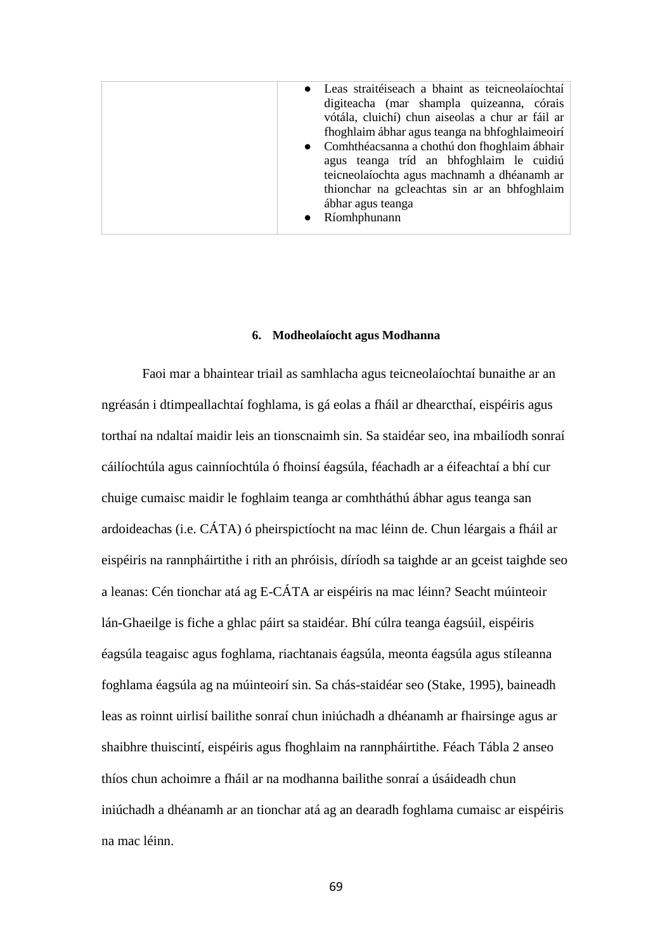#### **6. Modheolaíocht agus Modhanna**

Faoi mar a bhaintear triail as samhlacha agus teicneolaíochtaí bunaithe ar an ngréasán i dtimpeallachtaí foghlama, is gá eolas a fháil ar dhearcthaí, eispéiris agus torthaí na ndaltaí maidir leis an tionscnaimh sin. Sa staidéar seo, ina mbailíodh sonraí cáilíochtúla agus cainníochtúla ó fhoinsí éagsúla, féachadh ar a éifeachtaí a bhí cur chuige cumaisc maidir le foghlaim teanga ar comhtháthú ábhar agus teanga san ardoideachas (i.e. CÁTA) ó pheirspictíocht na mac léinn de. Chun léargais a fháil ar eispéiris na rannpháirtithe i rith an phróisis, díríodh sa taighde ar an gceist taighde seo a leanas: Cén tionchar atá ag E-CÁTA ar eispéiris na mac léinn? Seacht múinteoir lán-Ghaeilge is fiche a ghlac páirt sa staidéar. Bhí cúlra teanga éagsúil, eispéiris éagsúla teagaisc agus foghlama, riachtanais éagsúla, meonta éagsúla agus stíleanna foghlama éagsúla ag na múinteoirí sin. Sa chás-staidéar seo (Stake, 1995), baineadh leas as roinnt uirlisí bailithe sonraí chun iniúchadh a dhéanamh ar fhairsinge agus ar shaibhre thuiscintí, eispéiris agus fhoghlaim na rannpháirtithe. Féach Tábla 2 anseo thíos chun achoimre a fháil ar na modhanna bailithe sonraí a úsáideadh chun iniúchadh a dhéanamh ar an tionchar atá ag an dearadh foghlama cumaisc ar eispéiris na mac léinn.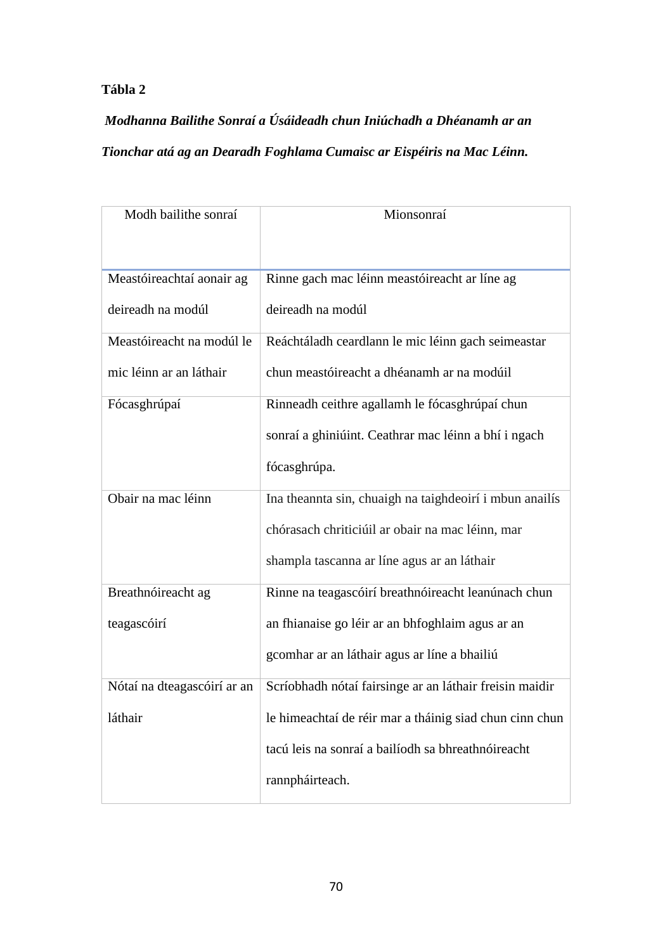# **Tábla 2**

*Modhanna Bailithe Sonraí a Úsáideadh chun Iniúchadh a Dhéanamh ar an Tionchar atá ag an Dearadh Foghlama Cumaisc ar Eispéiris na Mac Léinn.*

| Modh bailithe sonraí        | Mionsonraí                                              |
|-----------------------------|---------------------------------------------------------|
|                             |                                                         |
| Meastóireachtaí aonair ag   | Rinne gach mac léinn meastóireacht ar líne ag           |
| deireadh na modúl           | deireadh na modúl                                       |
| Meastóireacht na modúl le   | Reáchtáladh ceardlann le mic léinn gach seimeastar      |
| mic léinn ar an láthair     | chun meastóireacht a dhéanamh ar na modúil              |
| Fócasghrúpaí                | Rinneadh ceithre agallamh le fócasghrúpaí chun          |
|                             | sonraí a ghiniúint. Ceathrar mac léinn a bhí i ngach    |
|                             | fócasghrúpa.                                            |
| Obair na mac léinn          | Ina theannta sin, chuaigh na taighdeoirí i mbun anailís |
|                             | chórasach chriticiúil ar obair na mac léinn, mar        |
|                             | shampla tascanna ar líne agus ar an láthair             |
| Breathnóireacht ag          | Rinne na teagascóirí breathnóireacht leanúnach chun     |
| teagascóirí                 | an fhianaise go léir ar an bhfoghlaim agus ar an        |
|                             | gcomhar ar an láthair agus ar líne a bhailiú            |
| Nótaí na dteagascóirí ar an | Scríobhadh nótaí fairsinge ar an láthair freisin maidir |
| láthair                     | le himeachtaí de réir mar a tháinig siad chun cinn chun |
|                             | tacú leis na sonraí a bailíodh sa bhreathnóireacht      |
|                             | rannpháirteach.                                         |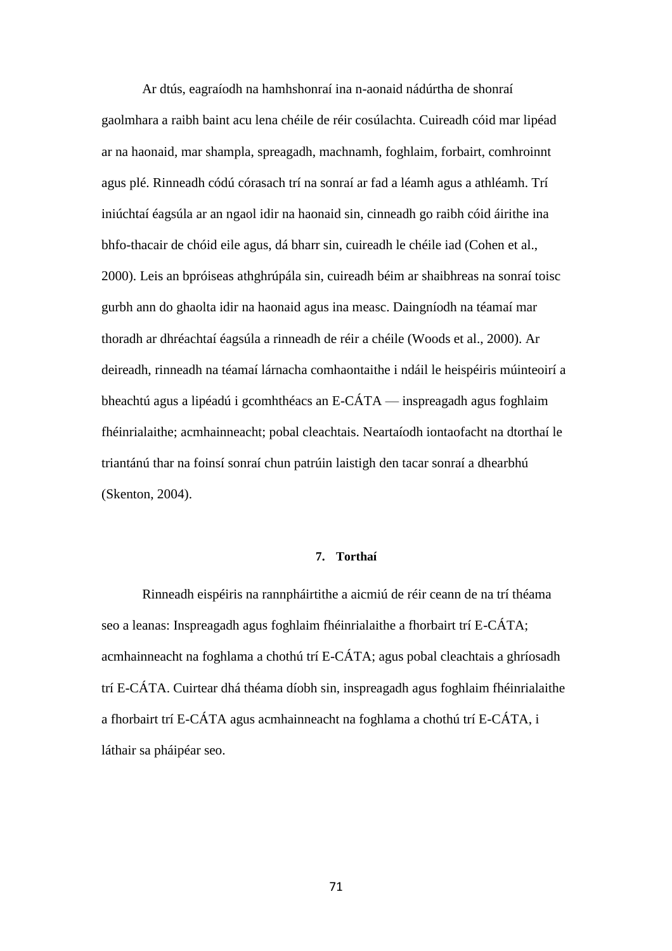Ar dtús, eagraíodh na hamhshonraí ina n-aonaid nádúrtha de shonraí gaolmhara a raibh baint acu lena chéile de réir cosúlachta. Cuireadh cóid mar lipéad ar na haonaid, mar shampla, spreagadh, machnamh, foghlaim, forbairt, comhroinnt agus plé. Rinneadh códú córasach trí na sonraí ar fad a léamh agus a athléamh. Trí iniúchtaí éagsúla ar an ngaol idir na haonaid sin, cinneadh go raibh cóid áirithe ina bhfo-thacair de chóid eile agus, dá bharr sin, cuireadh le chéile iad (Cohen et al., 2000). Leis an bpróiseas athghrúpála sin, cuireadh béim ar shaibhreas na sonraí toisc gurbh ann do ghaolta idir na haonaid agus ina measc. Daingníodh na téamaí mar thoradh ar dhréachtaí éagsúla a rinneadh de réir a chéile (Woods et al., 2000). Ar deireadh, rinneadh na téamaí lárnacha comhaontaithe i ndáil le heispéiris múinteoirí a bheachtú agus a lipéadú i gcomhthéacs an E-CÁTA — inspreagadh agus foghlaim fhéinrialaithe; acmhainneacht; pobal cleachtais. Neartaíodh iontaofacht na dtorthaí le triantánú thar na foinsí sonraí chun patrúin laistigh den tacar sonraí a dhearbhú (Skenton, 2004).

### **7. Torthaí**

Rinneadh eispéiris na rannpháirtithe a aicmiú de réir ceann de na trí théama seo a leanas: Inspreagadh agus foghlaim fhéinrialaithe a fhorbairt trí E-CÁTA; acmhainneacht na foghlama a chothú trí E-CÁTA; agus pobal cleachtais a ghríosadh trí E-CÁTA. Cuirtear dhá théama díobh sin, inspreagadh agus foghlaim fhéinrialaithe a fhorbairt trí E-CÁTA agus acmhainneacht na foghlama a chothú trí E-CÁTA, i láthair sa pháipéar seo.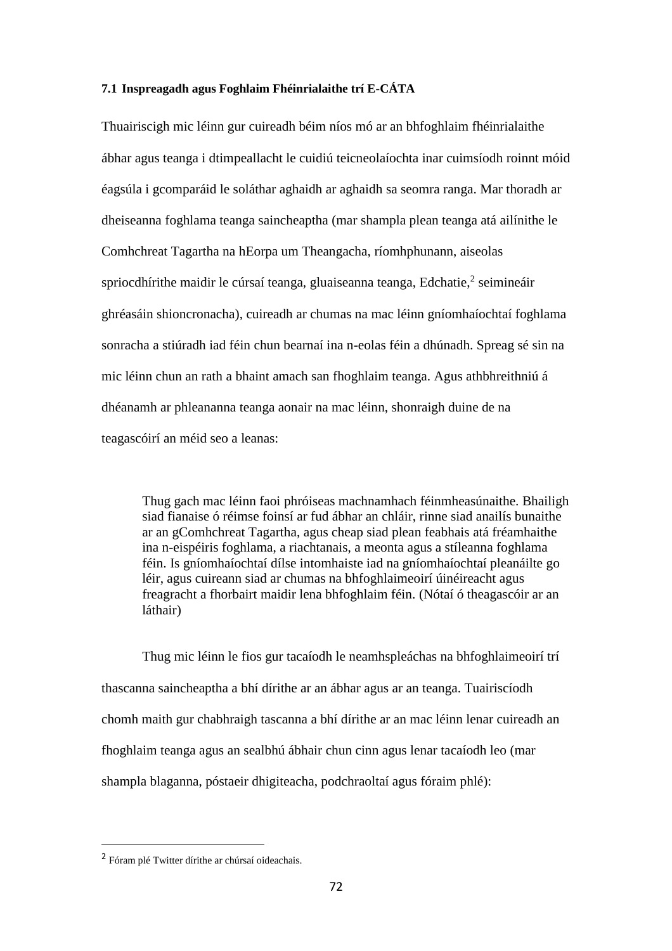### **7.1 Inspreagadh agus Foghlaim Fhéinrialaithe trí E-CÁTA**

Thuairiscigh mic léinn gur cuireadh béim níos mó ar an bhfoghlaim fhéinrialaithe ábhar agus teanga i dtimpeallacht le cuidiú teicneolaíochta inar cuimsíodh roinnt móid éagsúla i gcomparáid le soláthar aghaidh ar aghaidh sa seomra ranga. Mar thoradh ar dheiseanna foghlama teanga saincheaptha (mar shampla plean teanga atá ailínithe le Comhchreat Tagartha na hEorpa um Theangacha, ríomhphunann, aiseolas spriocdhírithe maidir le cúrsaí teanga, gluaiseanna teanga, Edchatie, $2$  seimineáir ghréasáin shioncronacha), cuireadh ar chumas na mac léinn gníomhaíochtaí foghlama sonracha a stiúradh iad féin chun bearnaí ina n-eolas féin a dhúnadh. Spreag sé sin na mic léinn chun an rath a bhaint amach san fhoghlaim teanga. Agus athbhreithniú á dhéanamh ar phleananna teanga aonair na mac léinn, shonraigh duine de na teagascóirí an méid seo a leanas:

Thug gach mac léinn faoi phróiseas machnamhach féinmheasúnaithe. Bhailigh siad fianaise ó réimse foinsí ar fud ábhar an chláir, rinne siad anailís bunaithe ar an gComhchreat Tagartha, agus cheap siad plean feabhais atá fréamhaithe ina n-eispéiris foghlama, a riachtanais, a meonta agus a stíleanna foghlama féin. Is gníomhaíochtaí dílse intomhaiste iad na gníomhaíochtaí pleanáilte go léir, agus cuireann siad ar chumas na bhfoghlaimeoirí úinéireacht agus freagracht a fhorbairt maidir lena bhfoghlaim féin. (Nótaí ó theagascóir ar an láthair)

Thug mic léinn le fios gur tacaíodh le neamhspleáchas na bhfoghlaimeoirí trí thascanna saincheaptha a bhí dírithe ar an ábhar agus ar an teanga. Tuairiscíodh chomh maith gur chabhraigh tascanna a bhí dírithe ar an mac léinn lenar cuireadh an fhoghlaim teanga agus an sealbhú ábhair chun cinn agus lenar tacaíodh leo (mar shampla blaganna, póstaeir dhigiteacha, podchraoltaí agus fóraim phlé):

 $\overline{a}$ 

<sup>&</sup>lt;sup>2</sup> Fóram plé Twitter dírithe ar chúrsaí oideachais.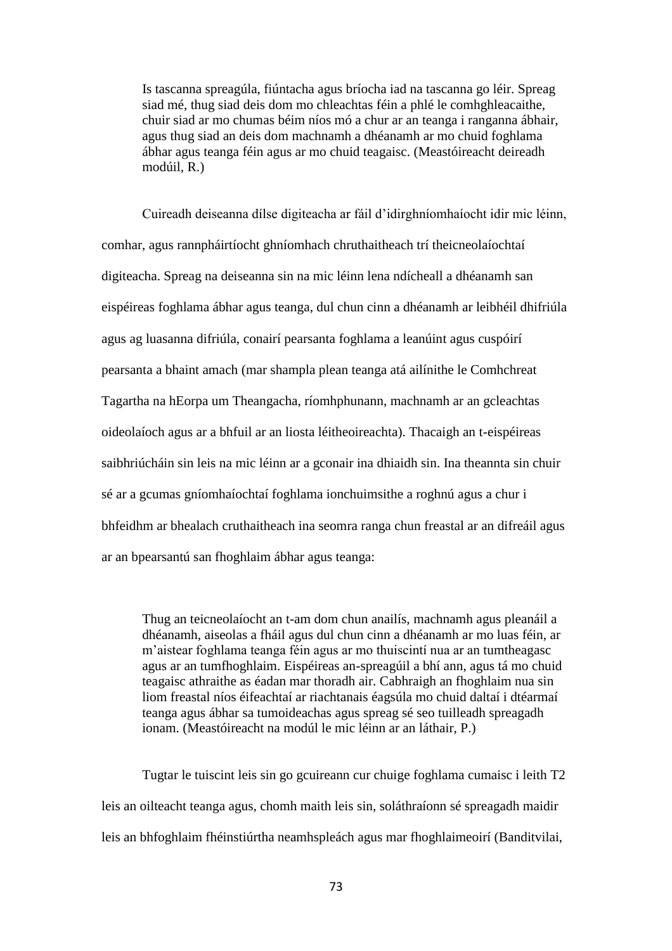Is tascanna spreagúla, fiúntacha agus bríocha iad na tascanna go léir. Spreag siad mé, thug siad deis dom mo chleachtas féin a phlé le comhghleacaithe, chuir siad ar mo chumas béim níos mó a chur ar an teanga i ranganna ábhair, agus thug siad an deis dom machnamh a dhéanamh ar mo chuid foghlama ábhar agus teanga féin agus ar mo chuid teagaisc. (Meastóireacht deireadh modúil, R.)

Cuireadh deiseanna dílse digiteacha ar fáil d'idirghníomhaíocht idir mic léinn, comhar, agus rannpháirtíocht ghníomhach chruthaitheach trí theicneolaíochtaí digiteacha. Spreag na deiseanna sin na mic léinn lena ndícheall a dhéanamh san eispéireas foghlama ábhar agus teanga, dul chun cinn a dhéanamh ar leibhéil dhifriúla agus ag luasanna difriúla, conairí pearsanta foghlama a leanúint agus cuspóirí pearsanta a bhaint amach (mar shampla plean teanga atá ailínithe le Comhchreat Tagartha na hEorpa um Theangacha, ríomhphunann, machnamh ar an gcleachtas oideolaíoch agus ar a bhfuil ar an liosta léitheoireachta). Thacaigh an t-eispéireas saibhriúcháin sin leis na mic léinn ar a gconair ina dhiaidh sin. Ina theannta sin chuir sé ar a gcumas gníomhaíochtaí foghlama ionchuimsithe a roghnú agus a chur i bhfeidhm ar bhealach cruthaitheach ina seomra ranga chun freastal ar an difreáil agus ar an bpearsantú san fhoghlaim ábhar agus teanga:

Thug an teicneolaíocht an t-am dom chun anailís, machnamh agus pleanáil a dhéanamh, aiseolas a fháil agus dul chun cinn a dhéanamh ar mo luas féin, ar m'aistear foghlama teanga féin agus ar mo thuiscintí nua ar an tumtheagasc agus ar an tumfhoghlaim. Eispéireas an-spreagúil a bhí ann, agus tá mo chuid teagaisc athraithe as éadan mar thoradh air. Cabhraigh an fhoghlaim nua sin liom freastal níos éifeachtaí ar riachtanais éagsúla mo chuid daltaí i dtéarmaí teanga agus ábhar sa tumoideachas agus spreag sé seo tuilleadh spreagadh ionam. (Meastóireacht na modúl le mic léinn ar an láthair, P.)

Tugtar le tuiscint leis sin go gcuireann cur chuige foghlama cumaisc i leith T2 leis an oilteacht teanga agus, chomh maith leis sin, soláthraíonn sé spreagadh maidir leis an bhfoghlaim fhéinstiúrtha neamhspleách agus mar fhoghlaimeoirí (Banditvilai,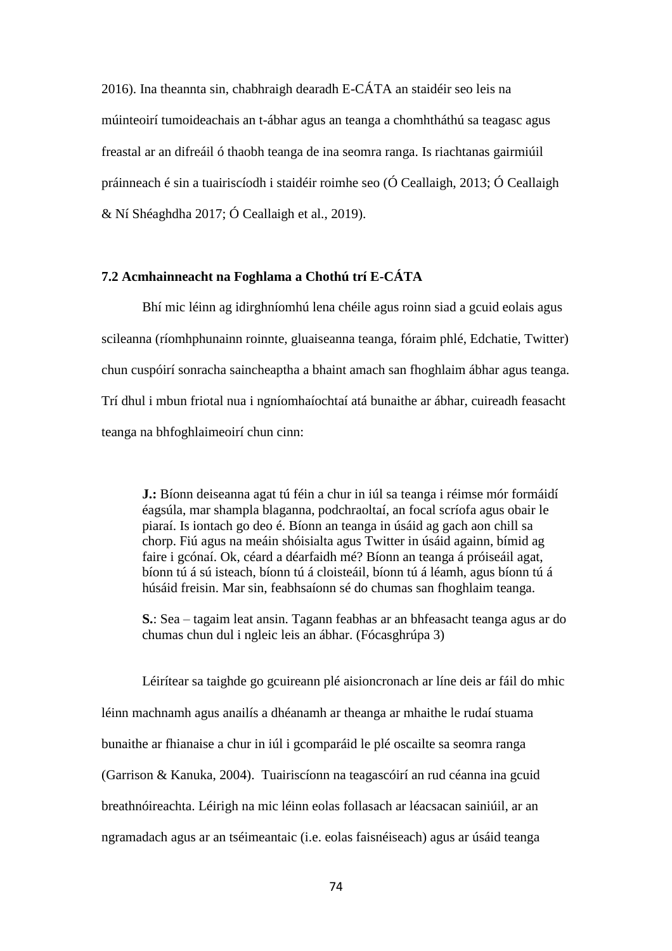2016). Ina theannta sin, chabhraigh dearadh E-CÁTA an staidéir seo leis na múinteoirí tumoideachais an t-ábhar agus an teanga a chomhtháthú sa teagasc agus freastal ar an difreáil ó thaobh teanga de ina seomra ranga. Is riachtanas gairmiúil práinneach é sin a tuairiscíodh i staidéir roimhe seo (Ó Ceallaigh, 2013; Ó Ceallaigh & Ní Shéaghdha 2017; Ó Ceallaigh et al., 2019).

## **7.2 Acmhainneacht na Foghlama a Chothú trí E-CÁTA**

Bhí mic léinn ag idirghníomhú lena chéile agus roinn siad a gcuid eolais agus scileanna (ríomhphunainn roinnte, gluaiseanna teanga, fóraim phlé, Edchatie, Twitter) chun cuspóirí sonracha saincheaptha a bhaint amach san fhoghlaim ábhar agus teanga. Trí dhul i mbun friotal nua i ngníomhaíochtaí atá bunaithe ar ábhar, cuireadh feasacht teanga na bhfoghlaimeoirí chun cinn:

**J.:** Bíonn deiseanna agat tú féin a chur in iúl sa teanga i réimse mór formáidí éagsúla, mar shampla blaganna, podchraoltaí, an focal scríofa agus obair le piaraí. Is iontach go deo é. Bíonn an teanga in úsáid ag gach aon chill sa chorp. Fiú agus na meáin shóisialta agus Twitter in úsáid againn, bímid ag faire i gcónaí. Ok, céard a déarfaidh mé? Bíonn an teanga á próiseáil agat, bíonn tú á sú isteach, bíonn tú á cloisteáil, bíonn tú á léamh, agus bíonn tú á húsáid freisin. Mar sin, feabhsaíonn sé do chumas san fhoghlaim teanga.

**S.**: Sea – tagaim leat ansin. Tagann feabhas ar an bhfeasacht teanga agus ar do chumas chun dul i ngleic leis an ábhar. (Fócasghrúpa 3)

Léirítear sa taighde go gcuireann plé aisioncronach ar líne deis ar fáil do mhic léinn machnamh agus anailís a dhéanamh ar theanga ar mhaithe le rudaí stuama bunaithe ar fhianaise a chur in iúl i gcomparáid le plé oscailte sa seomra ranga (Garrison & Kanuka, 2004). Tuairiscíonn na teagascóirí an rud céanna ina gcuid breathnóireachta. Léirigh na mic léinn eolas follasach ar léacsacan sainiúil, ar an ngramadach agus ar an tséimeantaic (i.e. eolas faisnéiseach) agus ar úsáid teanga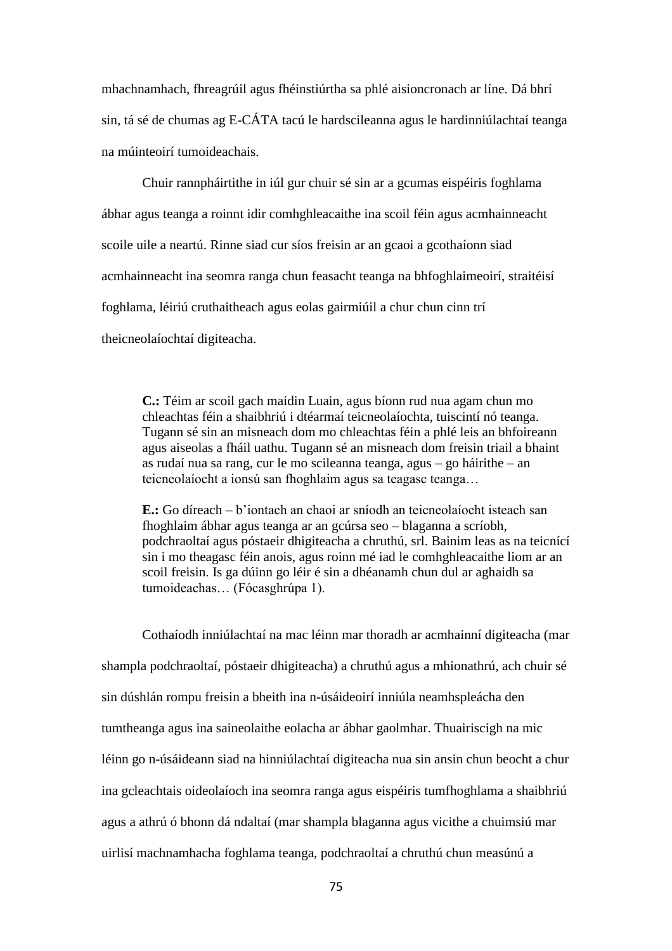mhachnamhach, fhreagrúil agus fhéinstiúrtha sa phlé aisioncronach ar líne. Dá bhrí sin, tá sé de chumas ag E-CÁTA tacú le hardscileanna agus le hardinniúlachtaí teanga na múinteoirí tumoideachais.

Chuir rannpháirtithe in iúl gur chuir sé sin ar a gcumas eispéiris foghlama ábhar agus teanga a roinnt idir comhghleacaithe ina scoil féin agus acmhainneacht scoile uile a neartú. Rinne siad cur síos freisin ar an gcaoi a gcothaíonn siad acmhainneacht ina seomra ranga chun feasacht teanga na bhfoghlaimeoirí, straitéisí foghlama, léiriú cruthaitheach agus eolas gairmiúil a chur chun cinn trí theicneolaíochtaí digiteacha.

**C.:** Téim ar scoil gach maidin Luain, agus bíonn rud nua agam chun mo chleachtas féin a shaibhriú i dtéarmaí teicneolaíochta, tuiscintí nó teanga. Tugann sé sin an misneach dom mo chleachtas féin a phlé leis an bhfoireann agus aiseolas a fháil uathu. Tugann sé an misneach dom freisin triail a bhaint as rudaí nua sa rang, cur le mo scileanna teanga, agus – go háirithe – an teicneolaíocht a ionsú san fhoghlaim agus sa teagasc teanga…

**E.:** Go díreach – b'iontach an chaoi ar sníodh an teicneolaíocht isteach san fhoghlaim ábhar agus teanga ar an gcúrsa seo – blaganna a scríobh, podchraoltaí agus póstaeir dhigiteacha a chruthú, srl. Bainim leas as na teicnící sin i mo theagasc féin anois, agus roinn mé iad le comhghleacaithe liom ar an scoil freisin. Is ga dúinn go léir é sin a dhéanamh chun dul ar aghaidh sa tumoideachas… (Fócasghrúpa 1).

Cothaíodh inniúlachtaí na mac léinn mar thoradh ar acmhainní digiteacha (mar shampla podchraoltaí, póstaeir dhigiteacha) a chruthú agus a mhionathrú, ach chuir sé sin dúshlán rompu freisin a bheith ina n-úsáideoirí inniúla neamhspleácha den tumtheanga agus ina saineolaithe eolacha ar ábhar gaolmhar. Thuairiscigh na mic léinn go n-úsáideann siad na hinniúlachtaí digiteacha nua sin ansin chun beocht a chur ina gcleachtais oideolaíoch ina seomra ranga agus eispéiris tumfhoghlama a shaibhriú agus a athrú ó bhonn dá ndaltaí (mar shampla blaganna agus vicithe a chuimsiú mar uirlisí machnamhacha foghlama teanga, podchraoltaí a chruthú chun measúnú a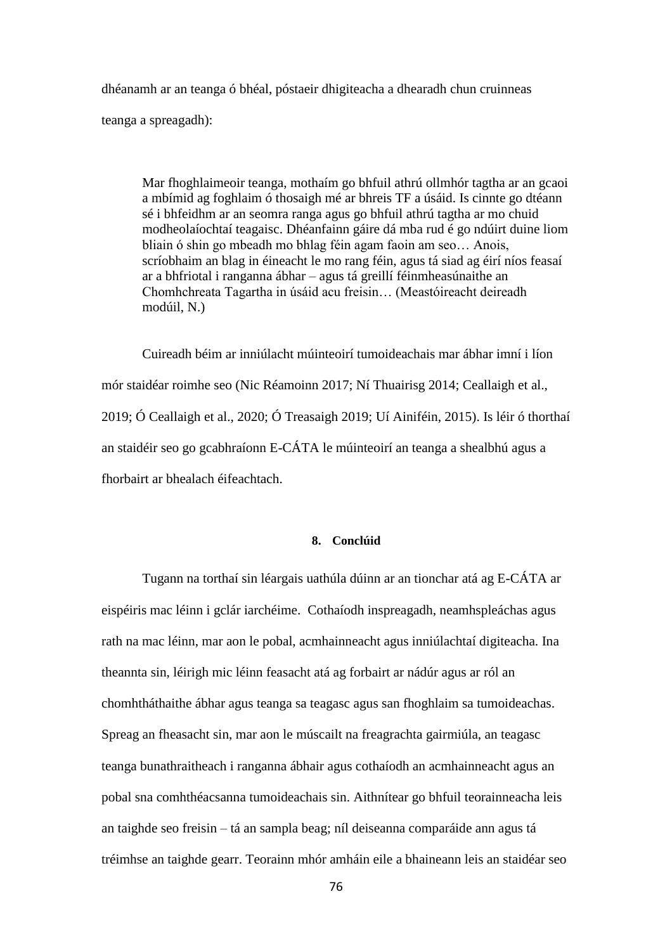dhéanamh ar an teanga ó bhéal, póstaeir dhigiteacha a dhearadh chun cruinneas teanga a spreagadh):

Mar fhoghlaimeoir teanga, mothaím go bhfuil athrú ollmhór tagtha ar an gcaoi a mbímid ag foghlaim ó thosaigh mé ar bhreis TF a úsáid. Is cinnte go dtéann sé i bhfeidhm ar an seomra ranga agus go bhfuil athrú tagtha ar mo chuid modheolaíochtaí teagaisc. Dhéanfainn gáire dá mba rud é go ndúirt duine liom bliain ó shin go mbeadh mo bhlag féin agam faoin am seo… Anois, scríobhaim an blag in éineacht le mo rang féin, agus tá siad ag éirí níos feasaí ar a bhfriotal i ranganna ábhar – agus tá greillí féinmheasúnaithe an Chomhchreata Tagartha in úsáid acu freisin… (Meastóireacht deireadh modúil, N.)

Cuireadh béim ar inniúlacht múinteoirí tumoideachais mar ábhar imní i líon mór staidéar roimhe seo (Nic Réamoinn 2017; Ní Thuairisg 2014; Ceallaigh et al., 2019; Ó Ceallaigh et al., 2020; Ó Treasaigh 2019; Uí Ainiféin, 2015). Is léir ó thorthaí an staidéir seo go gcabhraíonn E-CÁTA le múinteoirí an teanga a shealbhú agus a fhorbairt ar bhealach éifeachtach.

## **8. Conclúid**

Tugann na torthaí sin léargais uathúla dúinn ar an tionchar atá ag E-CÁTA ar eispéiris mac léinn i gclár iarchéime. Cothaíodh inspreagadh, neamhspleáchas agus rath na mac léinn, mar aon le pobal, acmhainneacht agus inniúlachtaí digiteacha. Ina theannta sin, léirigh mic léinn feasacht atá ag forbairt ar nádúr agus ar ról an chomhtháthaithe ábhar agus teanga sa teagasc agus san fhoghlaim sa tumoideachas. Spreag an fheasacht sin, mar aon le múscailt na freagrachta gairmiúla, an teagasc teanga bunathraitheach i ranganna ábhair agus cothaíodh an acmhainneacht agus an pobal sna comhthéacsanna tumoideachais sin. Aithnítear go bhfuil teorainneacha leis an taighde seo freisin – tá an sampla beag; níl deiseanna comparáide ann agus tá tréimhse an taighde gearr. Teorainn mhór amháin eile a bhaineann leis an staidéar seo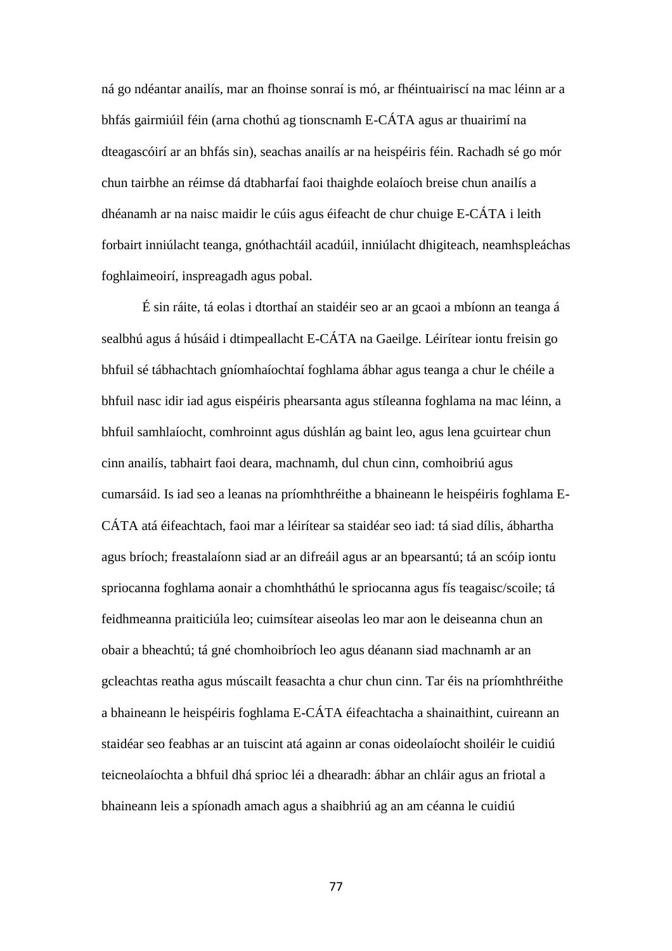ná go ndéantar anailís, mar an fhoinse sonraí is mó, ar fhéintuairiscí na mac léinn ar a bhfás gairmiúil féin (arna chothú ag tionscnamh E-CÁTA agus ar thuairimí na dteagascóirí ar an bhfás sin), seachas anailís ar na heispéiris féin. Rachadh sé go mór chun tairbhe an réimse dá dtabharfaí faoi thaighde eolaíoch breise chun anailís a dhéanamh ar na naisc maidir le cúis agus éifeacht de chur chuige E-CÁTA i leith forbairt inniúlacht teanga, gnóthachtáil acadúil, inniúlacht dhigiteach, neamhspleáchas foghlaimeoirí, inspreagadh agus pobal.

É sin ráite, tá eolas i dtorthaí an staidéir seo ar an gcaoi a mbíonn an teanga á sealbhú agus á húsáid i dtimpeallacht E-CÁTA na Gaeilge. Léirítear iontu freisin go bhfuil sé tábhachtach gníomhaíochtaí foghlama ábhar agus teanga a chur le chéile a bhfuil nasc idir iad agus eispéiris phearsanta agus stíleanna foghlama na mac léinn, a bhfuil samhlaíocht, comhroinnt agus dúshlán ag baint leo, agus lena gcuirtear chun cinn anailís, tabhairt faoi deara, machnamh, dul chun cinn, comhoibriú agus cumarsáid. Is iad seo a leanas na príomhthréithe a bhaineann le heispéiris foghlama E-CÁTA atá éifeachtach, faoi mar a léirítear sa staidéar seo iad: tá siad dílis, ábhartha agus bríoch; freastalaíonn siad ar an difreáil agus ar an bpearsantú; tá an scóip iontu spriocanna foghlama aonair a chomhtháthú le spriocanna agus fís teagaisc/scoile; tá feidhmeanna praiticiúla leo; cuimsítear aiseolas leo mar aon le deiseanna chun an obair a bheachtú; tá gné chomhoibríoch leo agus déanann siad machnamh ar an gcleachtas reatha agus múscailt feasachta a chur chun cinn. Tar éis na príomhthréithe a bhaineann le heispéiris foghlama E-CÁTA éifeachtacha a shainaithint, cuireann an staidéar seo feabhas ar an tuiscint atá againn ar conas oideolaíocht shoiléir le cuidiú teicneolaíochta a bhfuil dhá sprioc léi a dhearadh: ábhar an chláir agus an friotal a bhaineann leis a spíonadh amach agus a shaibhriú ag an am céanna le cuidiú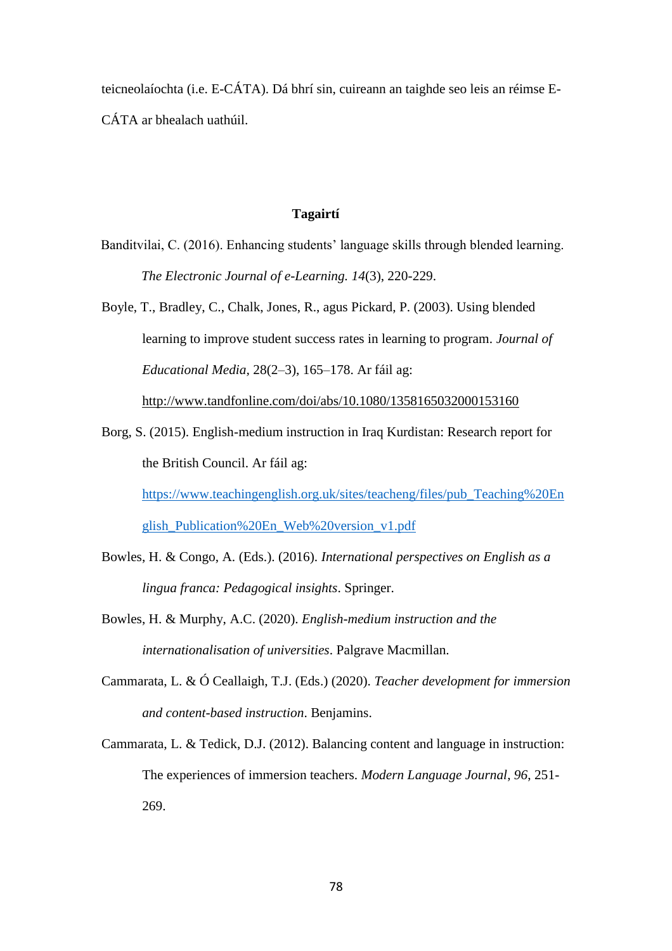teicneolaíochta (i.e. E-CÁTA). Dá bhrí sin, cuireann an taighde seo leis an réimse E-CÁTA ar bhealach uathúil.

### **Tagairtí**

- Banditvilai, C. (2016). Enhancing students' language skills through blended learning. *The Electronic Journal of e-Learning. 14*(3), 220-229.
- Boyle, T., Bradley, C., Chalk, Jones, R., agus Pickard, P. (2003). Using blended learning to improve student success rates in learning to program. *Journal of Educational Media,* 28(2–3), 165–178. Ar fáil ag: <http://www.tandfonline.com/doi/abs/10.1080/1358165032000153160>
- Borg, S. (2015). English-medium instruction in Iraq Kurdistan: Research report for the British Council. Ar fáil ag: [https://www.teachingenglish.org.uk/sites/teacheng/files/pub\\_Teaching%20En](https://www.teachingenglish.org.uk/sites/teacheng/files/pub_Teaching%20English_Publication%20En_Web%20version_v1.pdf) [glish\\_Publication%20En\\_Web%20version\\_v1.pdf](https://www.teachingenglish.org.uk/sites/teacheng/files/pub_Teaching%20English_Publication%20En_Web%20version_v1.pdf)
- Bowles, H. & Congo, A. (Eds.). (2016). *International perspectives on English as a lingua franca: Pedagogical insights*. Springer.
- Bowles, H. & Murphy, A.C. (2020). *English-medium instruction and the internationalisation of universities*. Palgrave Macmillan.
- Cammarata, L. & Ó Ceallaigh, T.J. (Eds.) (2020). *Teacher development for immersion and content-based instruction*. Benjamins.
- Cammarata, L. & Tedick, D.J. (2012). Balancing content and language in instruction: The experiences of immersion teachers. *Modern Language Journal*, *96*, 251- 269.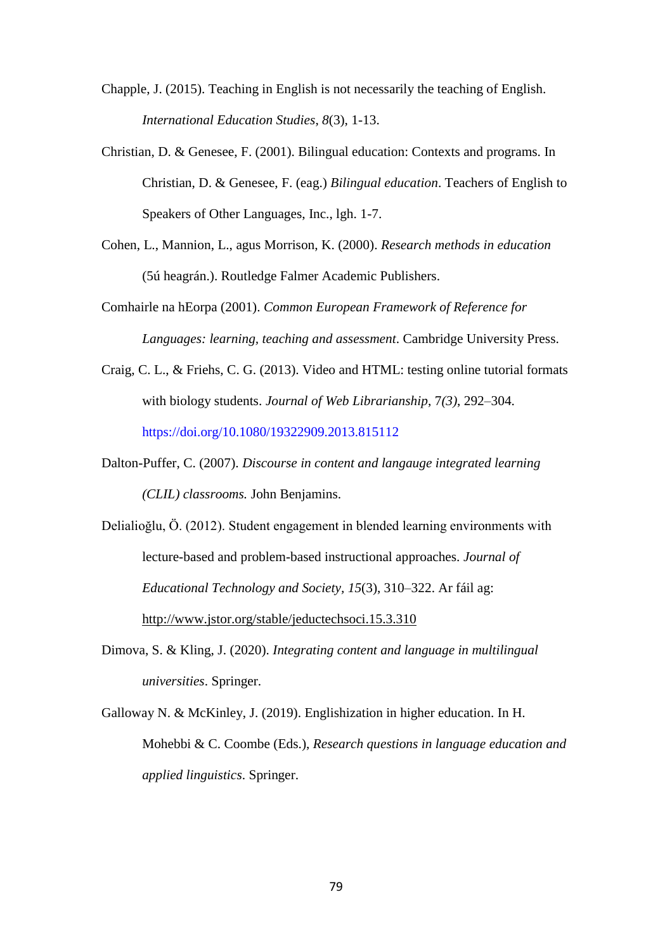- Chapple, J. (2015). Teaching in English is not necessarily the teaching of English. *International Education Studies*, *8*(3), 1-13.
- Christian, D. & Genesee, F. (2001). Bilingual education: Contexts and programs. In Christian, D. & Genesee, F. (eag.) *Bilingual education*. Teachers of English to Speakers of Other Languages, Inc., lgh. 1-7.
- Cohen, L., Mannion, L., agus Morrison, K. (2000). *Research methods in education* (5ú heagrán.). Routledge Falmer Academic Publishers.
- Comhairle na hEorpa (2001). *Common European Framework of Reference for Languages: learning, teaching and assessment*. Cambridge University Press.
- Craig, C. L., & Friehs, C. G. (2013). Video and HTML: testing online tutorial formats with biology students. *Journal of Web Librarianship*, 7*(3)*, 292–304. https://doi.org/10.1080/19322909.2013.815112
- Dalton-Puffer, C. (2007). *Discourse in content and langauge integrated learning (CLIL) classrooms.* John Benjamins.
- Delialioğlu, Ö. (2012). Student engagement in blended learning environments with lecture-based and problem-based instructional approaches. *Journal of Educational Technology and Society, 15*(3), 310–322. Ar fáil ag: <http://www.jstor.org/stable/jeductechsoci.15.3.310>
- Dimova, S. & Kling, J. (2020). *Integrating content and language in multilingual universities*. Springer.
- Galloway N. & McKinley, J. (2019). Englishization in higher education. In H. Mohebbi & C. Coombe (Eds.), *Research questions in language education and applied linguistics*. Springer.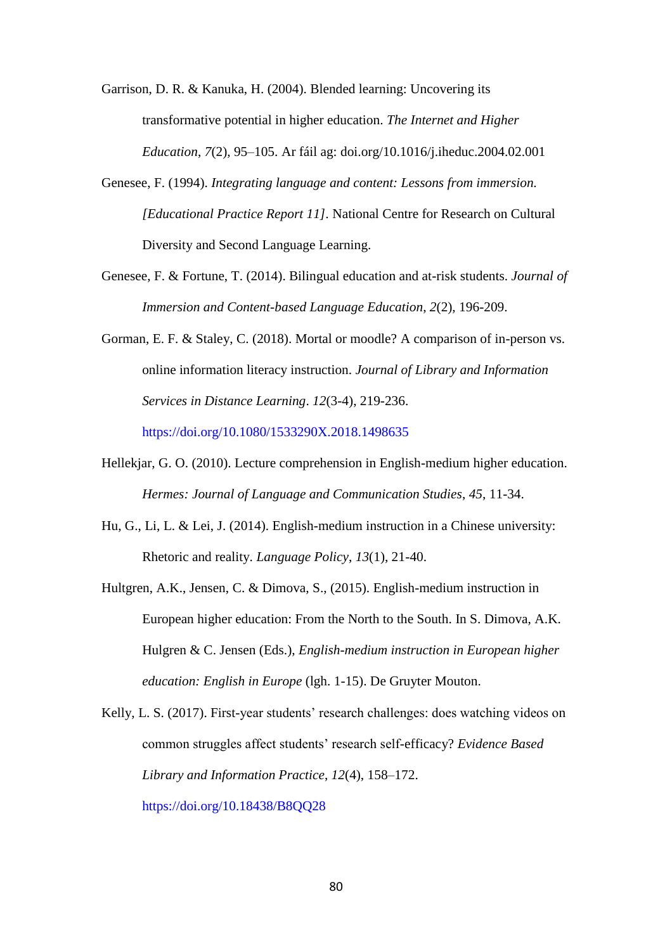Garrison, D. R. & Kanuka, H. (2004). Blended learning: Uncovering its transformative potential in higher education. *The Internet and Higher Education*, *7*(2), 95–105. Ar fáil ag: doi.org/10.1016/j.iheduc.2004.02.001

- Genesee, F. (1994). *Integrating language and content: Lessons from immersion. [Educational Practice Report 11].* National Centre for Research on Cultural Diversity and Second Language Learning.
- Genesee, F. & Fortune, T. (2014). Bilingual education and at-risk students. *Journal of Immersion and Content-based Language Education*, *2*(2), 196-209.
- Gorman, E. F. & Staley, C. (2018). Mortal or moodle? A comparison of in-person vs. online information literacy instruction. *Journal of Library and Information Services in Distance Learning*. *12*(3-4), 219-236. https://doi.org/10.1080/1533290X.2018.1498635
- Hellekjar, G. O. (2010). Lecture comprehension in English-medium higher education. *Hermes: Journal of Language and Communication Studies*, *45*, 11-34.
- Hu, G., Li, L. & Lei, J. (2014). English-medium instruction in a Chinese university: Rhetoric and reality. *Language Policy*, *13*(1), 21-40.

Hultgren, A.K., Jensen, C. & Dimova, S., (2015). English-medium instruction in European higher education: From the North to the South. In S. Dimova, A.K. Hulgren & C. Jensen (Eds.), *English-medium instruction in European higher education: English in Europe* (lgh. 1-15). De Gruyter Mouton.

Kelly, L. S. (2017). First-year students' research challenges: does watching videos on common struggles affect students' research self-efficacy? *Evidence Based Library and Information Practice*, *12*(4), 158–172. https://doi.org/10.18438/B8QQ28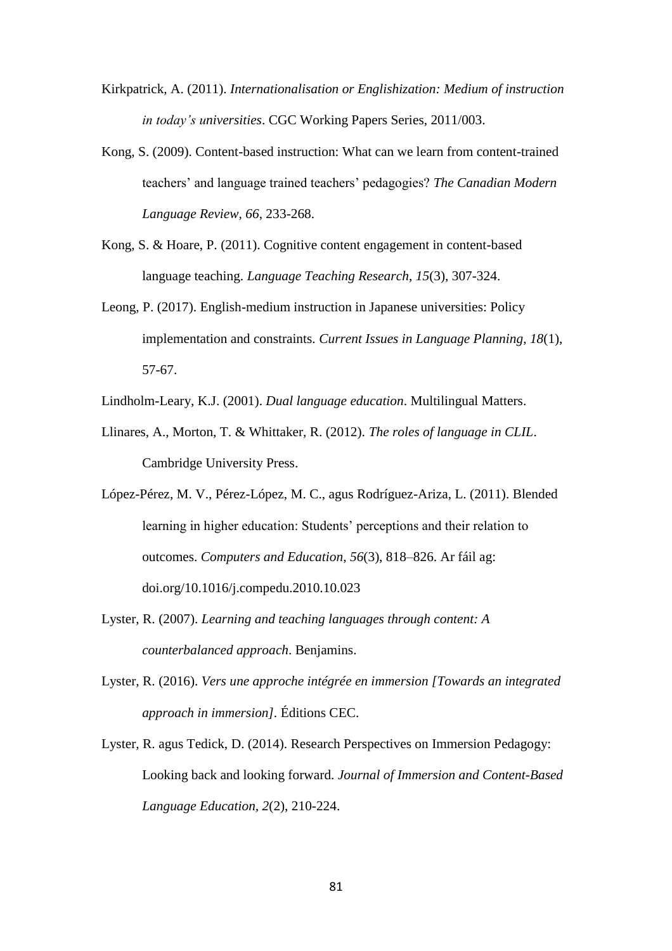- Kirkpatrick, A. (2011). *Internationalisation or Englishization: Medium of instruction in today's universities*. CGC Working Papers Series, 2011/003.
- Kong, S. (2009). Content-based instruction: What can we learn from content-trained teachers' and language trained teachers' pedagogies? *The Canadian Modern Language Review, 66*, 233-268.
- Kong, S. & Hoare, P. (2011). Cognitive content engagement in content-based language teaching. *Language Teaching Research*, *15*(3), 307-324.
- Leong, P. (2017). English-medium instruction in Japanese universities: Policy implementation and constraints. *Current Issues in Language Planning*, *18*(1), 57-67.
- Lindholm-Leary, K.J. (2001). *Dual language education*. Multilingual Matters.
- Llinares, A., Morton, T. & Whittaker, R. (2012). *The roles of language in CLIL*. Cambridge University Press.
- López-Pérez, M. V., Pérez-López, M. C., agus Rodríguez-Ariza, L. (2011). Blended learning in higher education: Students' perceptions and their relation to outcomes. *Computers and Education*, *56*(3), 818–826. Ar fáil ag: doi.org/10.1016/j.compedu.2010.10.023
- Lyster, R. (2007). *Learning and teaching languages through content: A counterbalanced approach*. Benjamins.
- Lyster, R. (2016). *Vers une approche intégrée en immersion [Towards an integrated approach in immersion].* Éditions CEC.
- Lyster, R. agus Tedick, D. (2014). Research Perspectives on Immersion Pedagogy: Looking back and looking forward. *Journal of Immersion and Content-Based Language Education, 2*(2), 210-224.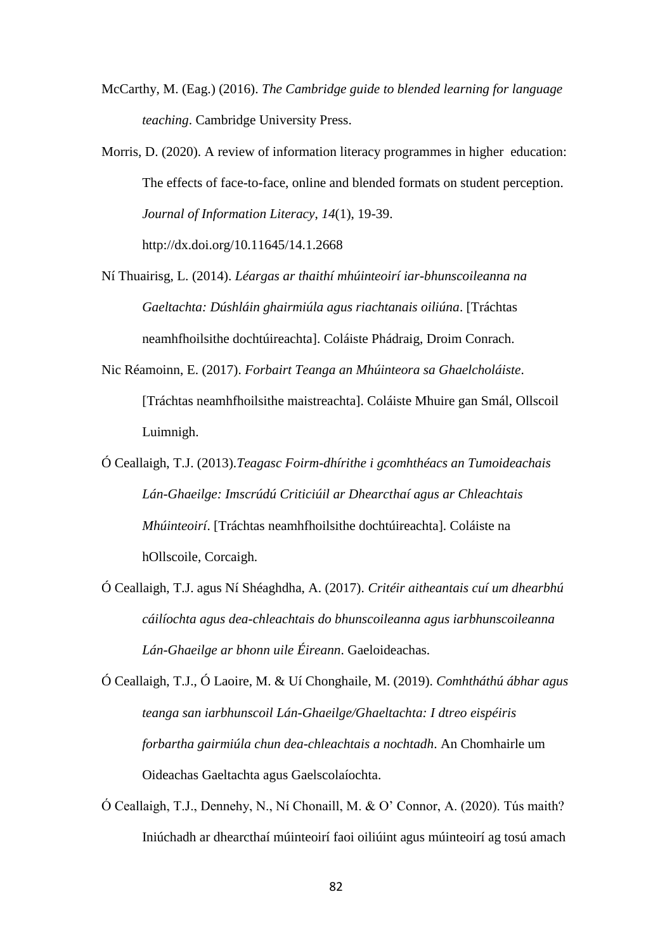- McCarthy, M. (Eag.) (2016). *The Cambridge guide to blended learning for language teaching*. Cambridge University Press.
- Morris, D. (2020). A review of information literacy programmes in higher education: The effects of face-to-face, online and blended formats on student perception. *Journal of Information Literacy*, *14*(1), 19-39. http://dx.doi.org/10.11645/14.1.2668
- Ní Thuairisg, L. (2014). *Léargas ar thaithí mhúinteoirí iar-bhunscoileanna na Gaeltachta: Dúshláin ghairmiúla agus riachtanais oiliúna*. [Tráchtas neamhfhoilsithe dochtúireachta]. Coláiste Phádraig, Droim Conrach.
- Nic Réamoinn, E. (2017). *Forbairt Teanga an Mhúinteora sa Ghaelcholáiste*. [Tráchtas neamhfhoilsithe maistreachta]. Coláiste Mhuire gan Smál, Ollscoil Luimnigh.
- Ó Ceallaigh, T.J. (2013).*Teagasc Foirm-dhírithe i gcomhthéacs an Tumoideachais Lán-Ghaeilge: Imscrúdú Criticiúil ar Dhearcthaí agus ar Chleachtais Mhúinteoirí*. [Tráchtas neamhfhoilsithe dochtúireachta]. Coláiste na hOllscoile, Corcaigh.
- Ó Ceallaigh, T.J. agus Ní Shéaghdha, A. (2017). *Critéir aitheantais cuí um dhearbhú cáilíochta agus dea-chleachtais do bhunscoileanna agus iarbhunscoileanna Lán-Ghaeilge ar bhonn uile Éireann*. Gaeloideachas.
- Ó Ceallaigh, T.J., Ó Laoire, M. & Uí Chonghaile, M. (2019). *Comhtháthú ábhar agus teanga san iarbhunscoil Lán-Ghaeilge/Ghaeltachta: I dtreo eispéiris forbartha gairmiúla chun dea-chleachtais a nochtadh*. An Chomhairle um Oideachas Gaeltachta agus Gaelscolaíochta.
- Ó Ceallaigh, T.J., Dennehy, N., Ní Chonaill, M. & O' Connor, A. (2020). Tús maith? Iniúchadh ar dhearcthaí múinteoirí faoi oiliúint agus múinteoirí ag tosú amach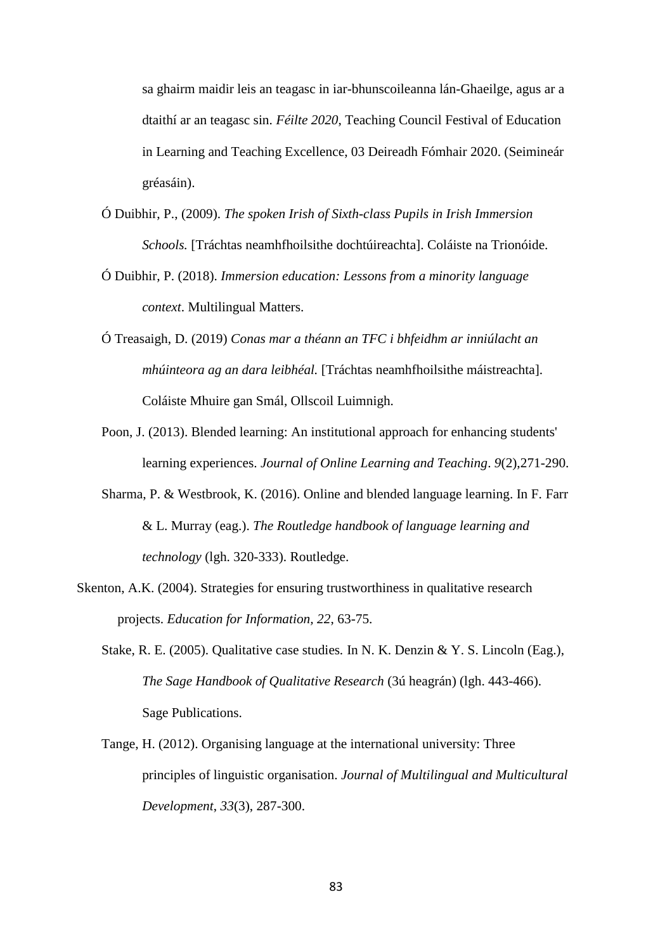sa ghairm maidir leis an teagasc in iar-bhunscoileanna lán-Ghaeilge, agus ar a dtaithí ar an teagasc sin. *Féilte 2020*, Teaching Council Festival of Education in Learning and Teaching Excellence, 03 Deireadh Fómhair 2020. (Seimineár gréasáin).

- Ó Duibhir, P., (2009). *The spoken Irish of Sixth-class Pupils in Irish Immersion Schools.* [Tráchtas neamhfhoilsithe dochtúireachta]. Coláiste na Trionóide.
- Ó Duibhir, P. (2018). *Immersion education: Lessons from a minority language context*. Multilingual Matters.
- Ó Treasaigh, D. (2019) *Conas mar a théann an TFC i bhfeidhm ar inniúlacht an mhúinteora ag an dara leibhéal.* [Tráchtas neamhfhoilsithe máistreachta]. Coláiste Mhuire gan Smál, Ollscoil Luimnigh.
- Poon, J. (2013). Blended learning: An institutional approach for enhancing students' learning experiences. *Journal of Online Learning and Teaching*. *9*(2),271-290.
- Sharma, P. & Westbrook, K. (2016). Online and blended language learning. In F. Farr & L. Murray (eag.). *The Routledge handbook of language learning and technology* (lgh. 320-333). Routledge.
- Skenton, A.K. (2004). Strategies for ensuring trustworthiness in qualitative research projects. *Education for Information, 22*, 63-75.
	- Stake, R. E. (2005). Qualitative case studies*.* In N. K. Denzin & Y. S. Lincoln (Eag.), *The Sage Handbook of Qualitative Research* (3ú heagrán) (lgh. 443-466). Sage Publications.
	- Tange, H. (2012). Organising language at the international university: Three principles of linguistic organisation. *Journal of Multilingual and Multicultural Development*, *33*(3), 287-300.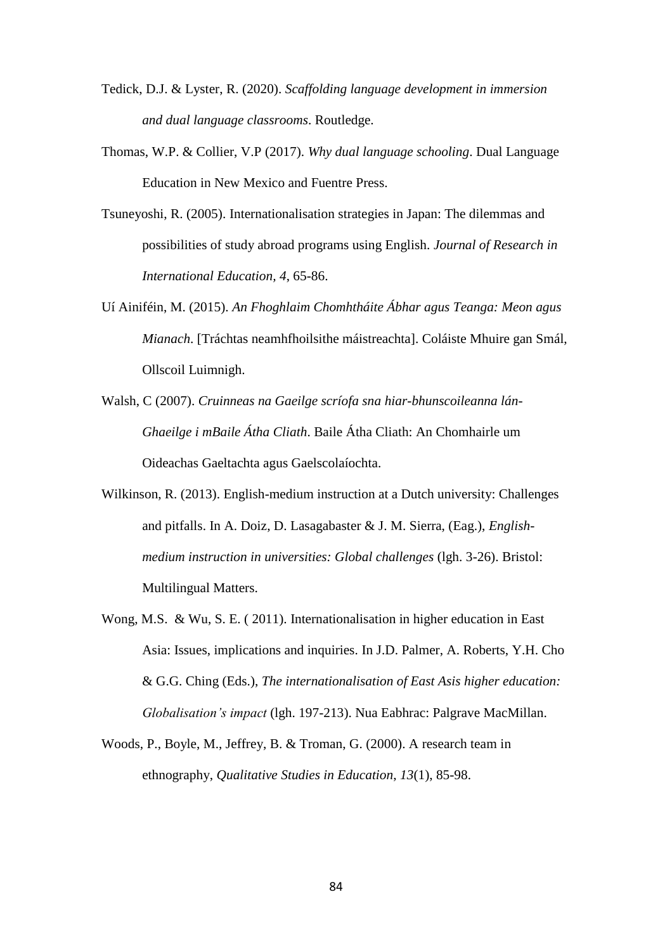- Tedick, D.J. & Lyster, R. (2020). *Scaffolding language development in immersion and dual language classrooms*. Routledge.
- Thomas, W.P. & Collier, V.P (2017). *Why dual language schooling*. Dual Language Education in New Mexico and Fuentre Press.
- Tsuneyoshi, R. (2005). Internationalisation strategies in Japan: The dilemmas and possibilities of study abroad programs using English. *Journal of Research in International Education, 4*, 65-86.
- Uí Ainiféin, M. (2015). *An Fhoghlaim Chomhtháite Ábhar agus Teanga: Meon agus Mianach*. [Tráchtas neamhfhoilsithe máistreachta]. Coláiste Mhuire gan Smál, Ollscoil Luimnigh.
- Walsh, C (2007). *Cruinneas na Gaeilge scríofa sna hiar-bhunscoileanna lán-Ghaeilge i mBaile Átha Cliath*. Baile Átha Cliath: An Chomhairle um Oideachas Gaeltachta agus Gaelscolaíochta.
- Wilkinson, R. (2013). English-medium instruction at a Dutch university: Challenges and pitfalls. In A. Doiz, D. Lasagabaster & J. M. Sierra, (Eag.), *Englishmedium instruction in universities: Global challenges* (lgh. 3-26). Bristol: Multilingual Matters.
- Wong, M.S. & Wu, S. E. ( 2011). Internationalisation in higher education in East Asia: Issues, implications and inquiries. In J.D. Palmer, A. Roberts, Y.H. Cho & G.G. Ching (Eds.), *The internationalisation of East Asis higher education: Globalisation's impact* (lgh. 197-213). Nua Eabhrac: Palgrave MacMillan.
- Woods, P., Boyle, M., Jeffrey, B. & Troman, G. (2000). A research team in ethnography, *Qualitative Studies in Education*, *13*(1), 85-98.